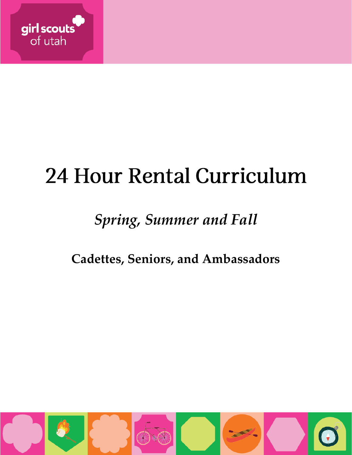

# 24 Hour Rental Curriculum

## *Spring, Summer and Fall*

**Cadettes, Seniors, and Ambassadors**

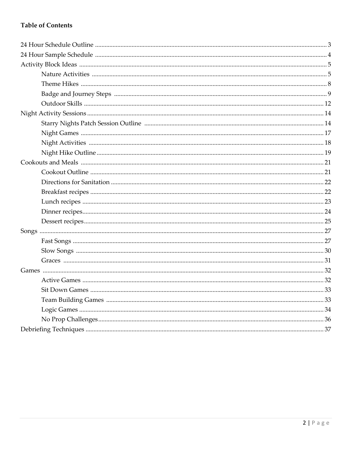## **Table of Contents**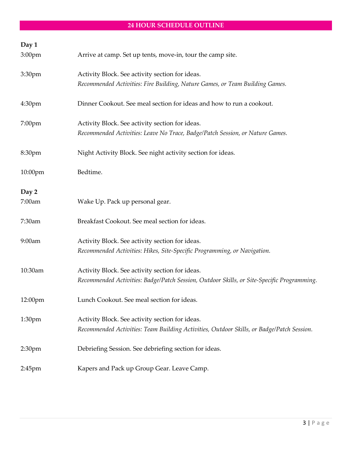## **24 HOUR SCHEDULE OUTLINE**

| Day 1<br>3:00pm    | Arrive at camp. Set up tents, move-in, tour the camp site.                                                                                    |
|--------------------|-----------------------------------------------------------------------------------------------------------------------------------------------|
| 3:30pm             | Activity Block. See activity section for ideas.<br>Recommended Activities: Fire Building, Nature Games, or Team Building Games.               |
| 4:30 <sub>pm</sub> | Dinner Cookout. See meal section for ideas and how to run a cookout.                                                                          |
| 7:00pm             | Activity Block. See activity section for ideas.<br>Recommended Activities: Leave No Trace, Badge/Patch Session, or Nature Games.              |
| 8:30pm             | Night Activity Block. See night activity section for ideas.                                                                                   |
| 10:00pm            | Bedtime.                                                                                                                                      |
| Day 2<br>7:00am    | Wake Up. Pack up personal gear.                                                                                                               |
| 7:30am             | Breakfast Cookout. See meal section for ideas.                                                                                                |
| 9:00am             | Activity Block. See activity section for ideas.<br>Recommended Activities: Hikes, Site-Specific Programming, or Navigation.                   |
| 10:30am            | Activity Block. See activity section for ideas.<br>Recommended Activities: Badge/Patch Session, Outdoor Skills, or Site-Specific Programming. |
| 12:00pm            | Lunch Cookout. See meal section for ideas.                                                                                                    |
| 1:30pm             | Activity Block. See activity section for ideas.<br>Recommended Activities: Team Building Activities, Outdoor Skills, or Badge/Patch Session.  |
| 2:30 <sub>pm</sub> | Debriefing Session. See debriefing section for ideas.                                                                                         |
| $2:45$ pm          | Kapers and Pack up Group Gear. Leave Camp.                                                                                                    |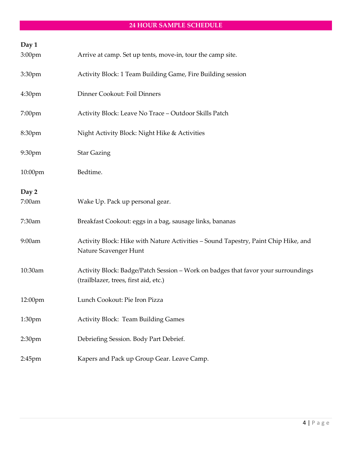## **24 HOUR SAMPLE SCHEDULE**

| Day 1              |                                                                                                                            |
|--------------------|----------------------------------------------------------------------------------------------------------------------------|
| 3:00pm             | Arrive at camp. Set up tents, move-in, tour the camp site.                                                                 |
| 3:30pm             | Activity Block: 1 Team Building Game, Fire Building session                                                                |
| 4:30 <sub>pm</sub> | Dinner Cookout: Foil Dinners                                                                                               |
| 7:00pm             | Activity Block: Leave No Trace - Outdoor Skills Patch                                                                      |
| 8:30pm             | Night Activity Block: Night Hike & Activities                                                                              |
| 9:30pm             | <b>Star Gazing</b>                                                                                                         |
| 10:00pm            | Bedtime.                                                                                                                   |
|                    |                                                                                                                            |
| Day 2<br>7:00am    | Wake Up. Pack up personal gear.                                                                                            |
| 7:30am             | Breakfast Cookout: eggs in a bag, sausage links, bananas                                                                   |
| 9:00am             | Activity Block: Hike with Nature Activities - Sound Tapestry, Paint Chip Hike, and<br>Nature Scavenger Hunt                |
| 10:30am            | Activity Block: Badge/Patch Session - Work on badges that favor your surroundings<br>(trailblazer, trees, first aid, etc.) |
| 12:00pm            | Lunch Cookout: Pie Iron Pizza                                                                                              |
| 1:30 <sub>pm</sub> | <b>Activity Block: Team Building Games</b>                                                                                 |
| 2:30 <sub>pm</sub> | Debriefing Session. Body Part Debrief.                                                                                     |
| 2:45pm             | Kapers and Pack up Group Gear. Leave Camp.                                                                                 |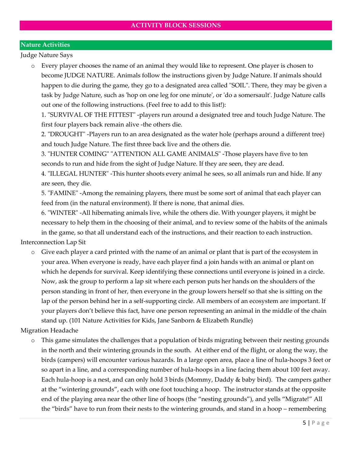## **Nature Activities**

Judge Nature Says

Every player chooses the name of an animal they would like to represent. One player is chosen to become JUDGE NATURE. Animals follow the instructions given by Judge Nature. If animals should happen to die during the game, they go to a designated area called "SOIL". There, they may be given a task by Judge Nature, such as 'hop on one leg for one minute', or 'do a somersault'. Judge Nature calls out one of the following instructions. (Feel free to add to this list!):

1. "SURVIVAL OF THE FITTEST" -players run around a designated tree and touch Judge Nature. The first four players back remain alive -the others die.

2. "DROUGHT" -Players run to an area designated as the water hole (perhaps around a different tree) and touch Judge Nature. The first three back live and the others die.

3. "HUNTER COMING" "ATTENTION ALL GAME ANIMALS" -Those players have five to ten seconds to run and hide from the sight of Judge Nature. If they are seen, they are dead.

4. "ILLEGAL HUNTER" -This hunter shoots every animal he sees, so all animals run and hide. If any are seen, they die.

5. "FAMINE" -Among the remaining players, there must be some sort of animal that each player can feed from (in the natural environment). If there is none, that animal dies.

6. "WINTER" -All hibernating animals live, while the others die. With younger players, it might be necessary to help them in the choosing of their animal, and to review some of the habits of the animals in the game, so that all understand each of the instructions, and their reaction to each instruction.

Interconnection Lap Sit

o Give each player a card printed with the name of an animal or plant that is part of the ecosystem in your area. When everyone is ready, have each player find a join hands with an animal or plant on which he depends for survival. Keep identifying these connections until everyone is joined in a circle. Now, ask the group to perform a lap sit where each person puts her hands on the shoulders of the person standing in front of her, then everyone in the group lowers herself so that she is sitting on the lap of the person behind her in a self-supporting circle. All members of an ecosystem are important. If your players don't believe this fact, have one person representing an animal in the middle of the chain stand up. (101 Nature Activities for Kids, Jane Sanborn & Elizabeth Rundle)

Migration Headache

o This game simulates the challenges that a population of birds migrating between their nesting grounds in the north and their wintering grounds in the south. At either end of the flight, or along the way, the birds (campers) will encounter various hazards. In a large open area, place a line of hula-hoops 3 feet or so apart in a line, and a corresponding number of hula-hoops in a line facing them about 100 feet away. Each hula-hoop is a nest, and can only hold 3 birds (Mommy, Daddy & baby bird). The campers gather at the "wintering grounds", each with one foot touching a hoop. The instructor stands at the opposite end of the playing area near the other line of hoops (the "nesting grounds"), and yells "Migrate!" All the "birds" have to run from their nests to the wintering grounds, and stand in a hoop – remembering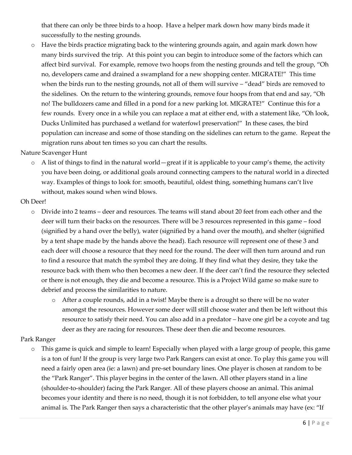that there can only be three birds to a hoop. Have a helper mark down how many birds made it successfully to the nesting grounds.

o Have the birds practice migrating back to the wintering grounds again, and again mark down how many birds survived the trip. At this point you can begin to introduce some of the factors which can affect bird survival. For example, remove two hoops from the nesting grounds and tell the group, "Oh no, developers came and drained a swampland for a new shopping center. MIGRATE!" This time when the birds run to the nesting grounds, not all of them will survive – "dead" birds are removed to the sidelines. On the return to the wintering grounds, remove four hoops from that end and say, "Oh no! The bulldozers came and filled in a pond for a new parking lot. MIGRATE!" Continue this for a few rounds. Every once in a while you can replace a mat at either end, with a statement like, "Oh look, Ducks Unlimited has purchased a wetland for waterfowl preservation!" In these cases, the bird population can increase and some of those standing on the sidelines can return to the game. Repeat the migration runs about ten times so you can chart the results.

## Nature Scavenger Hunt

 $\circ$  A list of things to find in the natural world—great if it is applicable to your camp's theme, the activity you have been doing, or additional goals around connecting campers to the natural world in a directed way. Examples of things to look for: smooth, beautiful, oldest thing, something humans can't live without, makes sound when wind blows.

## Oh Deer!

- o Divide into 2 teams deer and resources. The teams will stand about 20 feet from each other and the deer will turn their backs on the resources. There will be 3 resources represented in this game – food (signified by a hand over the belly), water (signified by a hand over the mouth), and shelter (signified by a tent shape made by the hands above the head). Each resource will represent one of these 3 and each deer will choose a resource that they need for the round. The deer will then turn around and run to find a resource that match the symbol they are doing. If they find what they desire, they take the resource back with them who then becomes a new deer. If the deer can't find the resource they selected or there is not enough, they die and become a resource. This is a Project Wild game so make sure to debrief and process the similarities to nature.
	- o After a couple rounds, add in a twist! Maybe there is a drought so there will be no water amongst the resources. However some deer will still choose water and then be left without this resource to satisfy their need. You can also add in a predator – have one girl be a coyote and tag deer as they are racing for resources. These deer then die and become resources.

## Park Ranger

o This game is quick and simple to learn! Especially when played with a large group of people, this game is a ton of fun! If the group is very large two Park Rangers can exist at once. To play this game you will need a fairly open area (ie: a lawn) and pre-set boundary lines. One player is chosen at random to be the "Park Ranger". This player begins in the center of the lawn. All other players stand in a line (shoulder-to-shoulder) facing the Park Ranger. All of these players choose an animal. This animal becomes your identity and there is no need, though it is not forbidden, to tell anyone else what your animal is. The Park Ranger then says a characteristic that the other player's animals may have (ex: "If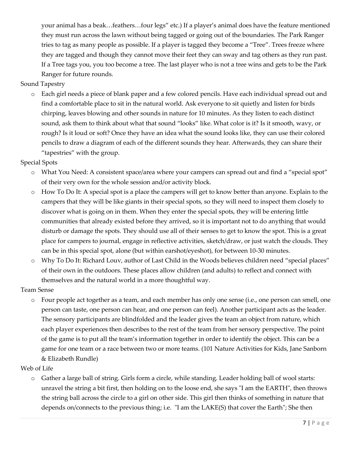your animal has a beak…feathers…four legs" etc.) If a player's animal does have the feature mentioned they must run across the lawn without being tagged or going out of the boundaries. The Park Ranger tries to tag as many people as possible. If a player is tagged they become a "Tree". Trees freeze where they are tagged and though they cannot move their feet they can sway and tag others as they run past. If a Tree tags you, you too become a tree. The last player who is not a tree wins and gets to be the Park Ranger for future rounds.

## Sound Tapestry

o Each girl needs a piece of blank paper and a few colored pencils. Have each individual spread out and find a comfortable place to sit in the natural world. Ask everyone to sit quietly and listen for birds chirping, leaves blowing and other sounds in nature for 10 minutes. As they listen to each distinct sound, ask them to think about what that sound "looks" like. What color is it? Is it smooth, wavy, or rough? Is it loud or soft? Once they have an idea what the sound looks like, they can use their colored pencils to draw a diagram of each of the different sounds they hear. Afterwards, they can share their "tapestries" with the group.

## Special Spots

- o What You Need: A consistent space/area where your campers can spread out and find a "special spot" of their very own for the whole session and/or activity block.
- o How To Do It: A special spot is a place the campers will get to know better than anyone. Explain to the campers that they will be like giants in their special spots, so they will need to inspect them closely to discover what is going on in them. When they enter the special spots, they will be entering little communities that already existed before they arrived, so it is important not to do anything that would disturb or damage the spots. They should use all of their senses to get to know the spot. This is a great place for campers to journal, engage in reflective activities, sketch/draw, or just watch the clouds. They can be in this special spot, alone (but within earshot/eyeshot), for between 10-30 minutes.
- o Why To Do It: Richard Louv, author of Last Child in the Woods believes children need "special places" of their own in the outdoors. These places allow children (and adults) to reflect and connect with themselves and the natural world in a more thoughtful way.

## Team Sense

o Four people act together as a team, and each member has only one sense (i.e., one person can smell, one person can taste, one person can hear, and one person can feel). Another participant acts as the leader. The sensory participants are blindfolded and the leader gives the team an object from nature, which each player experiences then describes to the rest of the team from her sensory perspective. The point of the game is to put all the team's information together in order to identify the object. This can be a game for one team or a race between two or more teams. (101 Nature Activities for Kids, Jane Sanborn & Elizabeth Rundle)

## Web of Life

o Gather a large ball of string. Girls form a circle, while standing. Leader holding ball of wool starts: unravel the string a bit first, then holding on to the loose end, she says "I am the EARTH", then throws the string ball across the circle to a girl on other side. This girl then thinks of something in nature that depends on/connects to the previous thing; i.e. "I am the LAKE(S) that cover the Earth"; She then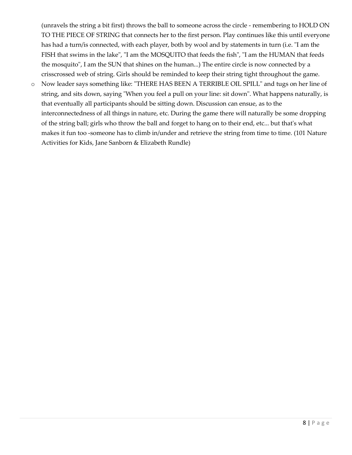(unravels the string a bit first) throws the ball to someone across the circle - remembering to HOLD ON TO THE PIECE OF STRING that connects her to the first person. Play continues like this until everyone has had a turn/is connected, with each player, both by wool and by statements in turn (i.e. "I am the FISH that swims in the lake", "I am the MOSQUITO that feeds the fish", "I am the HUMAN that feeds the mosquito", I am the SUN that shines on the human...) The entire circle is now connected by a crisscrossed web of string. Girls should be reminded to keep their string tight throughout the game.

o Now leader says something like: "THERE HAS BEEN A TERRIBLE OIL SPILL" and tugs on her line of string, and sits down, saying "When you feel a pull on your line: sit down". What happens naturally, is that eventually all participants should be sitting down. Discussion can ensue, as to the interconnectedness of all things in nature, etc. During the game there will naturally be some dropping of the string ball; girls who throw the ball and forget to hang on to their end, etc... but that's what makes it fun too -someone has to climb in/under and retrieve the string from time to time. (101 Nature Activities for Kids, Jane Sanborn & Elizabeth Rundle)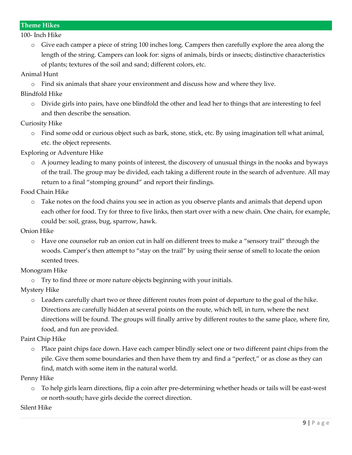## **Theme Hikes**

## 100- Inch Hike

o Give each camper a piece of string 100 inches long. Campers then carefully explore the area along the length of the string. Campers can look for: signs of animals, birds or insects; distinctive characteristics of plants; textures of the soil and sand; different colors, etc.

Animal Hunt

o Find six animals that share your environment and discuss how and where they live.

Blindfold Hike

o Divide girls into pairs, have one blindfold the other and lead her to things that are interesting to feel and then describe the sensation.

Curiosity Hike

o Find some odd or curious object such as bark, stone, stick, etc. By using imagination tell what animal, etc. the object represents.

Exploring or Adventure Hike

o A journey leading to many points of interest, the discovery of unusual things in the nooks and byways of the trail. The group may be divided, each taking a different route in the search of adventure. All may return to a final "stomping ground" and report their findings.

Food Chain Hike

o Take notes on the food chains you see in action as you observe plants and animals that depend upon each other for food. Try for three to five links, then start over with a new chain. One chain, for example, could be: soil, grass, bug, sparrow, hawk.

Onion Hike

o Have one counselor rub an onion cut in half on different trees to make a "sensory trail" through the woods. Camper's then attempt to "stay on the trail" by using their sense of smell to locate the onion scented trees.

Monogram Hike

o Try to find three or more nature objects beginning with your initials.

Mystery Hike

o Leaders carefully chart two or three different routes from point of departure to the goal of the hike. Directions are carefully hidden at several points on the route, which tell, in turn, where the next directions will be found. The groups will finally arrive by different routes to the same place, where fire, food, and fun are provided.

Paint Chip Hike

o Place paint chips face down. Have each camper blindly select one or two different paint chips from the pile. Give them some boundaries and then have them try and find a "perfect," or as close as they can find, match with some item in the natural world.

Penny Hike

o To help girls learn directions, flip a coin after pre-determining whether heads or tails will be east-west or north-south; have girls decide the correct direction.

Silent Hike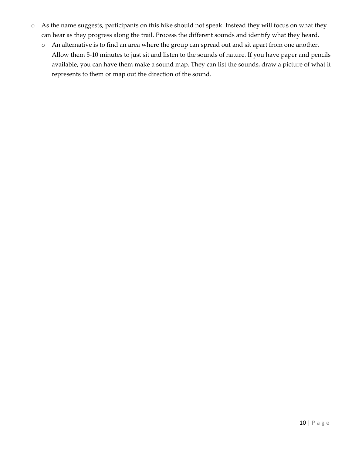- o As the name suggests, participants on this hike should not speak. Instead they will focus on what they can hear as they progress along the trail. Process the different sounds and identify what they heard.
	- o An alternative is to find an area where the group can spread out and sit apart from one another. Allow them 5-10 minutes to just sit and listen to the sounds of nature. If you have paper and pencils available, you can have them make a sound map. They can list the sounds, draw a picture of what it represents to them or map out the direction of the sound.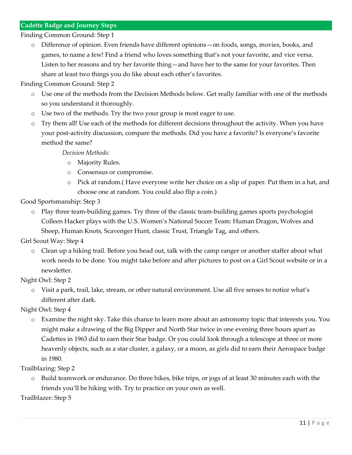**Cadette Badge and Journey Steps**

Finding Common Ground: Step 1

o Difference of opinion. Even friends have different opinions—on foods, songs, movies, books, and games, to name a few! Find a friend who loves something that's not your favorite, and vice versa. Listen to her reasons and try her favorite thing—and have her to the same for your favorites. Then share at least two things you do like about each other's favorites.

Finding Common Ground: Step 2

- o Use one of the methods from the Decision Methods below. Get really familiar with one of the methods so you understand it thoroughly.
- o Use two of the methods. Try the two your group is most eager to use.
- o Try them all! Use each of the methods for different decisions throughout the activity. When you have your post-activity discussion, compare the methods. Did you have a favorite? Is everyone's favorite method the same?

*Decision Methods:*

- o Majority Rules.
- o Consensus or compromise.
- o Pick at random.( Have everyone write her choice on a slip of paper. Put them in a hat, and choose one at random. You could also flip a coin.)

Good Sportsmanship: Step 3

o Play three team-building games. Try three of the classic team-building games sports psychologist Colleen Hacker plays with the U.S. Women's National Soccer Team: Human Dragon, Wolves and Sheep, Human Knots, Scavenger Hunt, classic Trust, Triangle Tag, and others.

Girl Scout Way: Step 4

o Clean up a hiking trail. Before you head out, talk with the camp ranger or another staffer about what work needs to be done. You might take before and after pictures to post on a Girl Scout website or in a newsletter.

Night Owl: Step 2

o Visit a park, trail, lake, stream, or other natural environment. Use all five senses to notice what's different after dark.

Night Owl: Step 4

o Examine the night sky. Take this chance to learn more about an astronomy topic that interests you. You might make a drawing of the Big Dipper and North Star twice in one evening three hours apart as Cadettes in 1963 did to earn their Star badge. Or you could look through a telescope at three or more heavenly objects, such as a star cluster, a galaxy, or a moon, as girls did to earn their Aerospace badge in 1980.

Trailblazing: Step 2

o Build teamwork or endurance. Do three hikes, bike trips, or jogs of at least 30 minutes each with the friends you'll be hiking with. Try to practice on your own as well.

Trailblazer: Step 5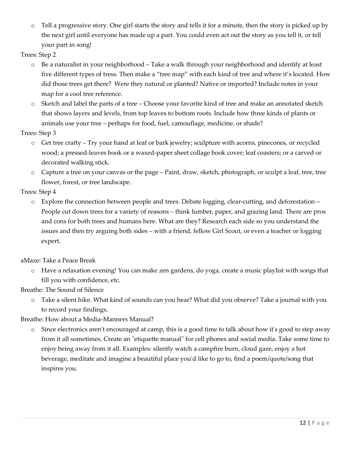o Tell a progressive story. One girl starts the story and tells it for a minute, then the story is picked up by the next girl until everyone has made up a part. You could even act out the story as you tell it, or tell your part in song!

Trees: Step 2

- o Be a naturalist in your neighborhood Take a walk through your neighborhood and identify at least five different types of tress. Then make a "tree map" with each kind of tree and where it's located. How did those trees get there? Were they natural or planted? Native or imported? Include notes in your map for a cool tree reference.
- o Sketch and label the parts of a tree Choose your favorite kind of tree and make an annotated sketch that shows layers and levels, from top leaves to bottom roots. Include how three kinds of plants or animals use your tree – perhaps for food, fuel, camouflage, medicine, or shade?

Trees: Step 3

- o Get tree crafty Try your hand at leaf or bark jewelry; sculpture with acorns, pinecones, or recycled wood; a pressed-leaves book or a waxed-paper sheet collage book cover; leaf coasters; or a carved or decorated walking stick.
- o Capture a tree on your canvas or the page Paint, draw, sketch, photograph, or sculpt a leaf, tree, tree flower, forest, or tree landscape.

Trees: Step 4

o Explore the connection between people and trees. Debate logging, clear-cutting, and deforestation – People cut down trees for a variety of reasons – think lumber, paper, and grazing land. There are pros and cons for both trees and humans here. What are they? Research each side so you understand the issues and then try arguing both sides – with a friend, fellow Girl Scout, or even a teacher or logging expert.

aMaze: Take a Peace Break

o Have a relaxation evening! You can make zen gardens, do yoga, create a music playlist with songs that fill you with confidence, etc.

Breathe: The Sound of Silence

o Take a silent hike. What kind of sounds can you hear? What did you observe? Take a journal with you to record your findings.

Breathe: How about a Media-Manners Manual?

o Since electronics aren't encouraged at camp, this is a good time to talk about how it's good to step away from it all sometimes. Create an "etiquette manual" for cell phones and social media. Take some time to enjoy being away from it all. Examples: silently watch a campfire burn, cloud gaze, enjoy a hot beverage, meditate and imagine a beautiful place you'd like to go to, find a poem/quote/song that inspires you.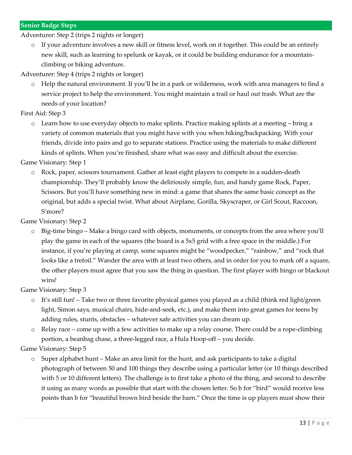Adventurer: Step 2 (trips 2 nights or longer)

o If your adventure involves a new skill or fitness level, work on it together. This could be an entirely new skill, such as learning to spelunk or kayak, or it could be building endurance for a mountainclimbing or biking adventure.

Adventurer: Step 4 (trips 2 nights or longer)

o Help the natural environment. If you'll be in a park or wilderness, work with area managers to find a service project to help the environment. You might maintain a trail or haul out trash. What are the needs of your location?

First Aid: Step 3

o Learn how to use everyday objects to make splints. Practice making splints at a meeting – bring a variety of common materials that you might have with you when hiking/backpacking. With your friends, divide into pairs and go to separate stations. Practice using the materials to make different kinds of splints. When you're finished, share what was easy and difficult about the exercise.

Game Visionary: Step 1

o Rock, paper, scissors tournament. Gather at least eight players to compete in a sudden-death championship. They'll probably know the deliriously simple, fun, and handy game Rock, Paper, Scissors. But you'll have something new in mind: a game that shares the same basic concept as the original, but adds a special twist. What about Airplane, Gorilla, Skyscraper, or Girl Scout, Raccoon, S'more?

Game Visionary: Step 2

o Big-time bingo – Make a bingo card with objects, monuments, or concepts from the area where you'll play the game in each of the squares (the board is a 5x5 grid with a free space in the middle.) For instance, if you're playing at camp, some squares might be "woodpecker," "rainbow," and "rock that looks like a trefoil." Wander the area with at least two others, and in order for you to mark off a square, the other players must agree that you saw the thing in question. The first player with bingo or blackout wins!

Game Visionary: Step 3

- o It's still fun! Take two or three favorite physical games you played as a child (think red light/green light, Simon says, musical chairs, hide-and-seek, etc.), and make them into great games for teens by adding rules, stunts, obstacles – whatever safe activities you can dream up.
- $\circ$  Relay race come up with a few activities to make up a relay course. There could be a rope-climbing portion, a beanbag chase, a three-legged race, a Hula Hoop-off – you decide.

Game Visionary: Step 5

 $\circ$  Super alphabet hunt – Make an area limit for the hunt, and ask participants to take a digital photograph of between 50 and 100 things they describe using a particular letter (or 10 things described with 5 or 10 different letters). The challenge is to first take a photo of the thing, and second to describe it using as many words as possible that start with the chosen letter. So b for "bird" would receive less points than b for "beautiful brown bird beside the barn." Once the time is up players must show their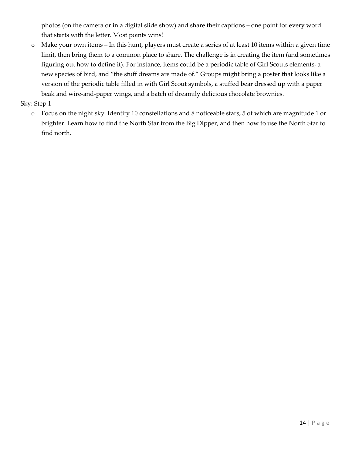photos (on the camera or in a digital slide show) and share their captions – one point for every word that starts with the letter. Most points wins!

o Make your own items – In this hunt, players must create a series of at least 10 items within a given time limit, then bring them to a common place to share. The challenge is in creating the item (and sometimes figuring out how to define it). For instance, items could be a periodic table of Girl Scouts elements, a new species of bird, and "the stuff dreams are made of." Groups might bring a poster that looks like a version of the periodic table filled in with Girl Scout symbols, a stuffed bear dressed up with a paper beak and wire-and-paper wings, and a batch of dreamily delicious chocolate brownies.

## Sky: Step 1

o Focus on the night sky. Identify 10 constellations and 8 noticeable stars, 5 of which are magnitude 1 or brighter. Learn how to find the North Star from the Big Dipper, and then how to use the North Star to find north.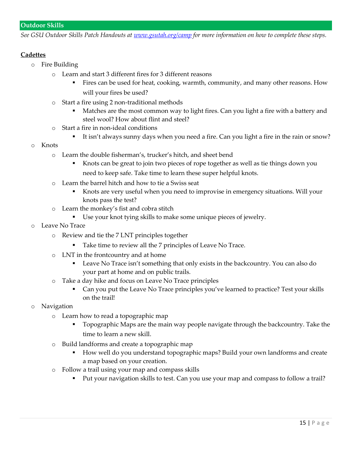#### **Outdoor Skills**

*See GSU Outdoor Skills Patch Handouts at [www.gsutah.org/camp](http://www.gsutah.org/camp) for more information on how to complete these steps.* 

#### **Cadettes**

- o Fire Building
	- o Learn and start 3 different fires for 3 different reasons
		- **•** Fires can be used for heat, cooking, warmth, community, and many other reasons. How will your fires be used?
	- o Start a fire using 2 non-traditional methods
		- Matches are the most common way to light fires. Can you light a fire with a battery and steel wool? How about flint and steel?
	- o Start a fire in non-ideal conditions
		- It isn't always sunny days when you need a fire. Can you light a fire in the rain or snow?
- o Knots
	- o Learn the double fisherman's, trucker's hitch, and sheet bend
		- Knots can be great to join two pieces of rope together as well as tie things down you need to keep safe. Take time to learn these super helpful knots.
	- o Learn the barrel hitch and how to tie a Swiss seat
		- Knots are very useful when you need to improvise in emergency situations. Will your knots pass the test?
	- o Learn the monkey's fist and cobra stitch
		- Use your knot tying skills to make some unique pieces of jewelry.
- o Leave No Trace
	- o Review and tie the 7 LNT principles together
		- Take time to review all the 7 principles of Leave No Trace.
	- o LNT in the frontcountry and at home
		- Leave No Trace isn't something that only exists in the backcountry. You can also do your part at home and on public trails.
	- o Take a day hike and focus on Leave No Trace principles
		- Can you put the Leave No Trace principles you've learned to practice? Test your skills on the trail!
- o Navigation
	- o Learn how to read a topographic map
		- Topographic Maps are the main way people navigate through the backcountry. Take the time to learn a new skill.
	- o Build landforms and create a topographic map
		- How well do you understand topographic maps? Build your own landforms and create a map based on your creation.
	- o Follow a trail using your map and compass skills
		- Put your navigation skills to test. Can you use your map and compass to follow a trail?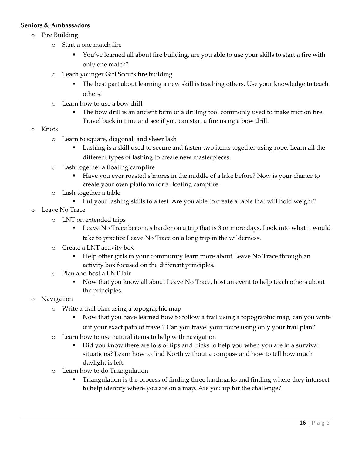## **Seniors & Ambassadors**

- o Fire Building
	- o Start a one match fire
		- You've learned all about fire building, are you able to use your skills to start a fire with only one match?
	- o Teach younger Girl Scouts fire building
		- The best part about learning a new skill is teaching others. Use your knowledge to teach others!
	- o Learn how to use a bow drill
		- The bow drill is an ancient form of a drilling tool commonly used to make friction fire. Travel back in time and see if you can start a fire using a bow drill.
- o Knots
	- o Learn to square, diagonal, and sheer lash
		- Lashing is a skill used to secure and fasten two items together using rope. Learn all the different types of lashing to create new masterpieces.
	- o Lash together a floating campfire
		- Have you ever roasted s'mores in the middle of a lake before? Now is your chance to create your own platform for a floating campfire.
	- o Lash together a table
		- Put your lashing skills to a test. Are you able to create a table that will hold weight?
- o Leave No Trace
	- o LNT on extended trips
		- Leave No Trace becomes harder on a trip that is 3 or more days. Look into what it would take to practice Leave No Trace on a long trip in the wilderness.
	- o Create a LNT activity box
		- Help other girls in your community learn more about Leave No Trace through an activity box focused on the different principles.
	- o Plan and host a LNT fair
		- Now that you know all about Leave No Trace, host an event to help teach others about the principles.

## o Navigation

- o Write a trail plan using a topographic map
	- Now that you have learned how to follow a trail using a topographic map, can you write out your exact path of travel? Can you travel your route using only your trail plan?
- o Learn how to use natural items to help with navigation
	- Did you know there are lots of tips and tricks to help you when you are in a survival situations? Learn how to find North without a compass and how to tell how much daylight is left.
- o Learn how to do Triangulation
	- **•** Triangulation is the process of finding three landmarks and finding where they intersect to help identify where you are on a map. Are you up for the challenge?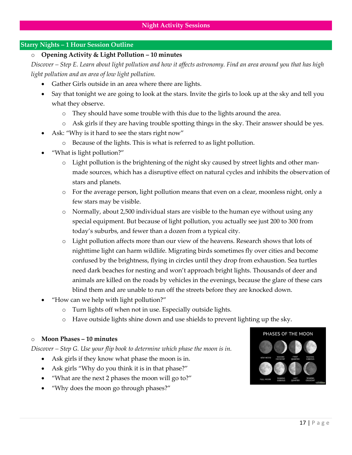#### **Starry Nights – 1 Hour Session Outline**

#### o **Opening Activity & Light Pollution – 10 minutes**

*Discover – Step E. Learn about light pollution and how it affects astronomy. Find an area around you that has high light pollution and an area of low light pollution.*

- Gather Girls outside in an area where there are lights.
- Say that tonight we are going to look at the stars. Invite the girls to look up at the sky and tell you what they observe.
	- o They should have some trouble with this due to the lights around the area.
	- o Ask girls if they are having trouble spotting things in the sky. Their answer should be yes.
- Ask: "Why is it hard to see the stars right now"
	- o Because of the lights. This is what is referred to as light pollution.
- "What is light pollution?"
	- o Light pollution is the brightening of the night sky caused by street lights and other manmade sources, which has a disruptive effect on natural cycles and inhibits the observation of stars and planets.
	- o For the average person, light pollution means that even on a clear, moonless night, only a few stars may be visible.
	- o Normally, about 2,500 individual stars are visible to the human eye without using any special equipment. But because of light pollution, you actually see just 200 to 300 from today's suburbs, and fewer than a dozen from a typical city.
	- o Light pollution affects more than our view of the heavens. Research shows that lots of nighttime light can harm wildlife. Migrating birds sometimes fly over cities and become confused by the brightness, flying in circles until they drop from exhaustion. Sea turtles need dark beaches for nesting and won't approach bright lights. Thousands of deer and animals are killed on the roads by vehicles in the evenings, because the glare of these cars blind them and are unable to run off the streets before they are knocked down.
- "How can we help with light pollution?"
	- o Turn lights off when not in use. Especially outside lights.
	- o Have outside lights shine down and use shields to prevent lighting up the sky.

#### o **Moon Phases – 10 minutes**

*Discover – Step G. Use your flip book to determine which phase the moon is in.*

- Ask girls if they know what phase the moon is in.
- Ask girls "Why do you think it is in that phase?"
- "What are the next 2 phases the moon will go to?"
- "Why does the moon go through phases?"

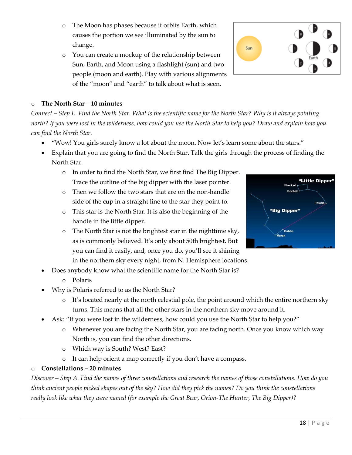- o The Moon has phases because it orbits Earth, which causes the portion we see illuminated by the sun to change.
- o You can create a mockup of the relationship between Sun, Earth, and Moon using a flashlight (sun) and two people (moon and earth). Play with various alignments of the "moon" and "earth" to talk about what is seen.



## o **The North Star – 10 minutes**

*Connect – Step E. Find the North Star. What is the scientific name for the North Star? Why is it always pointing north? If you were lost in the wilderness, how could you use the North Star to help you? Draw and explain how you can find the North Star.*

- "Wow! You girls surely know a lot about the moon. Now let's learn some about the stars."
- Explain that you are going to find the North Star. Talk the girls through the process of finding the North Star.
	- o In order to find the North Star, we first find The Big Dipper. Trace the outline of the big dipper with the laser pointer.
	- o Then we follow the two stars that are on the non-handle side of the cup in a straight line to the star they point to.
	- o This star is the North Star. It is also the beginning of the handle in the little dipper.
	- o The North Star is not the brightest star in the nighttime sky, as is commonly believed. It's only about 50th brightest. But you can find it easily, and, once you do, you'll see it shining in the northern sky every night, from N. Hemisphere locations.
- Does anybody know what the scientific name for the North Star is?
	- o Polaris
- Why is Polaris referred to as the North Star?
	- o It's located nearly at the north celestial pole, the point around which the entire northern sky turns. This means that all the other stars in the northern sky move around it.
- Ask: "If you were lost in the wilderness, how could you use the North Star to help you?"
	- o Whenever you are facing the North Star, you are facing north. Once you know which way North is, you can find the other directions.
	- o Which way is South? West? East?
	- o It can help orient a map correctly if you don't have a compass.

## o **Constellations – 20 minutes**

*Discover – Step A. Find the names of three constellations and research the names of those constellations. How do you think ancient people picked shapes out of the sky? How did they pick the names? Do you think the constellations really look like what they were named (for example the Great Bear, Orion-The Hunter, The Big Dipper)?*

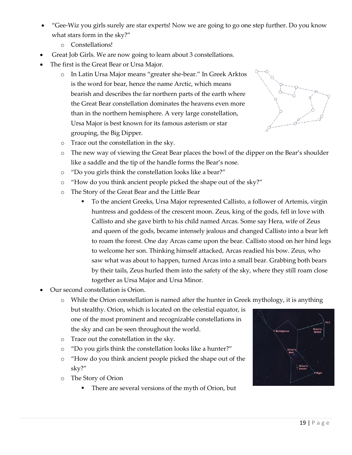- "Gee-Wiz you girls surely are star experts! Now we are going to go one step further. Do you know what stars form in the sky?"
	- o Constellations!
- Great Job Girls. We are now going to learn about 3 constellations.
- The first is the Great Bear or Ursa Major.
	- o In Latin Ursa Major means "greater she-bear." In Greek Arktos is the word for bear, hence the name Arctic, which means bearish and describes the far northern parts of the earth where the Great Bear constellation dominates the heavens even more than in the northern hemisphere. A very large constellation, Ursa Major is best known for its famous asterism or star grouping, the Big Dipper.



- o Trace out the constellation in the sky.
- o The new way of viewing the Great Bear places the bowl of the dipper on the Bear's shoulder like a saddle and the tip of the handle forms the Bear's nose.
- o "Do you girls think the constellation looks like a bear?"
- o "How do you think ancient people picked the shape out of the sky?"
- o The Story of the Great Bear and the Little Bear
	- To the ancient Greeks, Ursa Major represented Callisto, a follower of Artemis, virgin huntress and goddess of the crescent moon. Zeus, king of the gods, fell in love with Callisto and she gave birth to his child named Arcas. Some say Hera, wife of Zeus and queen of the gods, became intensely jealous and changed Callisto into a bear left to roam the forest. One day Arcas came upon the bear. Callisto stood on her hind legs to welcome her son. Thinking himself attacked, Arcas readied his bow. Zeus, who saw what was about to happen, turned Arcas into a small bear. Grabbing both bears by their tails, Zeus hurled them into the safety of the sky, where they still roam close together as Ursa Major and Ursa Minor.
- Our second constellation is Orion.
	- o While the Orion constellation is named after the hunter in Greek mythology, it is anything but stealthy. Orion, which is located on the celestial equator, is one of the most prominent and recognizable constellations in the sky and can be seen throughout the world.
	- o Trace out the constellation in the sky.
	- o "Do you girls think the constellation looks like a hunter?"
	- o "How do you think ancient people picked the shape out of the sky?"
	- o The Story of Orion
		- There are several versions of the myth of Orion, but

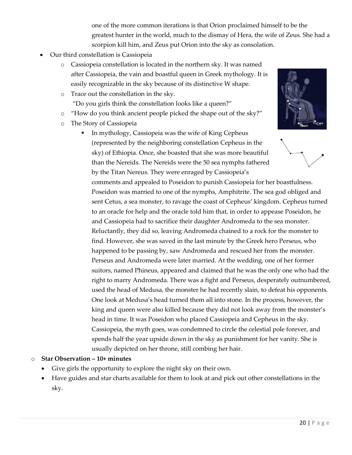one of the more common iterations is that Orion proclaimed himself to be the greatest hunter in the world, much to the dismay of Hera, the wife of Zeus. She had a scorpion kill him, and Zeus put Orion into the sky as consolation.

- Our third constellation is Cassiopeia
	- o Cassiopeia constellation is located in the northern sky. It was named after Cassiopeia, the vain and boastful queen in Greek mythology. It is easily recognizable in the sky because of its distinctive W shape.
	- o Trace out the constellation in the sky. "Do you girls think the constellation looks like a queen?"
	- o "How do you think ancient people picked the shape out of the sky?"
	- o The Story of Cassiopeia
		- In mythology, Cassiopeia was the wife of King Cepheus (represented by the neighboring constellation Cepheus in the sky) of Ethiopia. Once, she boasted that she was more beautiful than the Nereids. The Nereids were the 50 sea nymphs fathered by the Titan Nereus. They were enraged by Cassiopeia's

comments and appealed to Poseidon to punish Cassiopeia for her boastfulness. Poseidon was married to one of the nymphs, Amphitrite. The sea god obliged and sent Cetus, a sea monster, to ravage the coast of Cepheus' kingdom. Cepheus turned to an oracle for help and the oracle told him that, in order to appease Poseidon, he and Cassiopeia had to sacrifice their daughter Andromeda to the sea monster. Reluctantly, they did so, leaving Andromeda chained to a rock for the monster to find. However, she was saved in the last minute by the Greek hero Perseus, who happened to be passing by, saw Andromeda and rescued her from the monster. Perseus and Andromeda were later married. At the wedding, one of her former suitors, named Phineus, appeared and claimed that he was the only one who had the right to marry Andromeda. There was a fight and Perseus, desperately outnumbered, used the head of Medusa, the monster he had recently slain, to defeat his opponents. One look at Medusa's head turned them all into stone. In the process, however, the king and queen were also killed because they did not look away from the monster's head in time. It was Poseidon who placed Cassiopeia and Cepheus in the sky. Cassiopeia, the myth goes, was condemned to circle the celestial pole forever, and spends half the year upside down in the sky as punishment for her vanity. She is usually depicted on her throne, still combing her hair.

## o **Star Observation – 10+ minutes**

- Give girls the opportunity to explore the night sky on their own.
- Have guides and star charts available for them to look at and pick out other constellations in the sky.

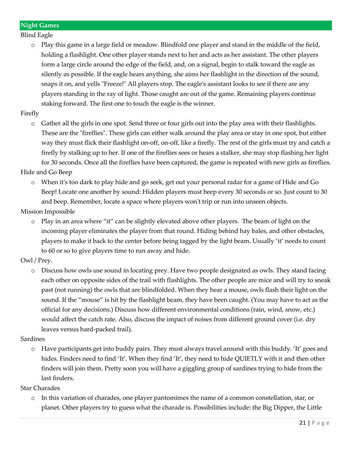Blind Eagle

o Play this game in a large field or meadow. Blindfold one player and stand in the middle of the field, holding a flashlight. One other player stands next to her and acts as her assistant. The other players form a large circle around the edge of the field, and, on a signal, begin to stalk toward the eagle as silently as possible. If the eagle hears anything, she aims her flashlight in the direction of the sound, snaps it on, and yells "Freeze!" All players stop. The eagle's assistant looks to see if there are any players standing in the ray of light. Those caught are out of the game. Remaining players continue staking forward. The first one to touch the eagle is the winner.

Firefly

o Gather all the girls in one spot. Send three or four girls out into the play area with their flashlights. These are the "fireflies". These girls can either walk around the play area or stay in one spot, but either way they must flick their flashlight on-off, on-off, like a firefly. The rest of the girls must try and catch a firefly by stalking up to her. If one of the fireflies sees or hears a stalker, she may stop flashing her light for 30 seconds. Once all the fireflies have been captured, the game is repeated with new girls as fireflies.

Hide and Go Beep

o When it's too dark to play hide and go seek, get out your personal radar for a game of Hide and Go Beep! Locate one another by sound: Hidden players must beep every 30 seconds or so. Just count to 30 and beep. Remember, locate a space where players won't trip or run into unseen objects.

Mission Impossible

o Play in an area where "it" can be slightly elevated above other players. The beam of light on the incoming player eliminates the player from that round. Hiding behind hay bales, and other obstacles, players to make it back to the center before being tagged by the light beam. Usually 'it' needs to count to 60 or so to give players time to run away and hide.

## Owl / Prey.

o Discuss how owls use sound in locating prey. Have two people designated as owls. They stand facing each other on opposite sides of the trail with flashlights. The other people are mice and will try to sneak past (not running) the owls that are blindfolded. When they hear a mouse, owls flash their light on the sound. If the "mouse" is hit by the flashlight beam, they have been caught. (You may have to act as the official for any decisions.) Discuss how different environmental conditions (rain, wind, snow, etc.) would affect the catch rate. Also, discuss the impact of noises from different ground cover (i.e. dry leaves versus hard-packed trail).

## Sardines

o Have participants get into buddy pairs. They must always travel around with this buddy. 'It' goes and hides. Finders need to find 'It'. When they find 'It', they need to hide QUIETLY with it and then other finders will join them. Pretty soon you will have a giggling group of sardines trying to hide from the last finders.

Star Charades

o In this variation of charades, one player pantomimes the name of a common constellation, star, or planet. Other players try to guess what the charade is. Possibilities include: the Big Dipper, the Little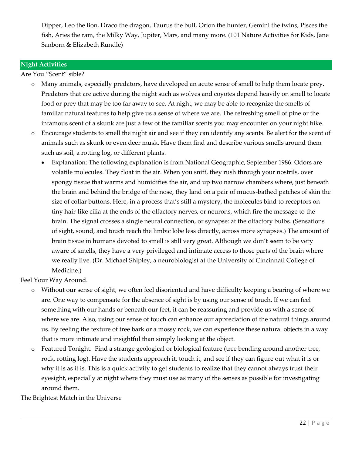Dipper, Leo the lion, Draco the dragon, Taurus the bull, Orion the hunter, Gemini the twins, Pisces the fish, Aries the ram, the Milky Way, Jupiter, Mars, and many more. (101 Nature Activities for Kids, Jane Sanborn & Elizabeth Rundle)

#### **Night Activities**

Are You "Scent" sible?

- o Many animals, especially predators, have developed an acute sense of smell to help them locate prey. Predators that are active during the night such as wolves and coyotes depend heavily on smell to locate food or prey that may be too far away to see. At night, we may be able to recognize the smells of familiar natural features to help give us a sense of where we are. The refreshing smell of pine or the infamous scent of a skunk are just a few of the familiar scents you may encounter on your night hike.
- o Encourage students to smell the night air and see if they can identify any scents. Be alert for the scent of animals such as skunk or even deer musk. Have them find and describe various smells around them such as soil, a rotting log, or different plants.
	- Explanation: The following explanation is from National Geographic, September 1986: Odors are volatile molecules. They float in the air. When you sniff, they rush through your nostrils, over spongy tissue that warms and humidifies the air, and up two narrow chambers where, just beneath the brain and behind the bridge of the nose, they land on a pair of mucus-bathed patches of skin the size of collar buttons. Here, in a process that's still a mystery, the molecules bind to receptors on tiny hair-like cilia at the ends of the olfactory nerves, or neurons, which fire the message to the brain. The signal crosses a single neural connection, or synapse: at the olfactory bulbs. (Sensations of sight, sound, and touch reach the limbic lobe less directly, across more synapses.) The amount of brain tissue in humans devoted to smell is still very great. Although we don't seem to be very aware of smells, they have a very privileged and intimate access to those parts of the brain where we really live. (Dr. Michael Shipley, a neurobiologist at the University of Cincinnati College of Medicine.)

Feel Your Way Around.

- o Without our sense of sight, we often feel disoriented and have difficulty keeping a bearing of where we are. One way to compensate for the absence of sight is by using our sense of touch. If we can feel something with our hands or beneath our feet, it can be reassuring and provide us with a sense of where we are. Also, using our sense of touch can enhance our appreciation of the natural things around us. By feeling the texture of tree bark or a mossy rock, we can experience these natural objects in a way that is more intimate and insightful than simply looking at the object.
- o Featured Tonight. Find a strange geological or biological feature (tree bending around another tree, rock, rotting log). Have the students approach it, touch it, and see if they can figure out what it is or why it is as it is. This is a quick activity to get students to realize that they cannot always trust their eyesight, especially at night where they must use as many of the senses as possible for investigating around them.

The Brightest Match in the Universe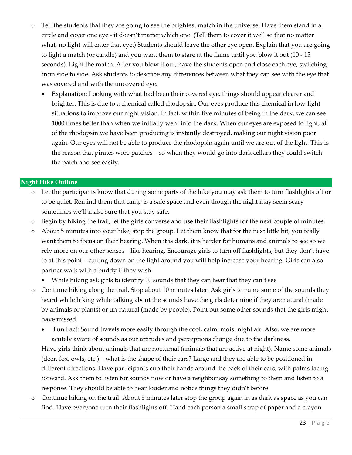- o Tell the students that they are going to see the brightest match in the universe. Have them stand in a circle and cover one eye - it doesn't matter which one. (Tell them to cover it well so that no matter what, no light will enter that eye.) Students should leave the other eye open. Explain that you are going to light a match (or candle) and you want them to stare at the flame until you blow it out (10 - 15 seconds). Light the match. After you blow it out, have the students open and close each eye, switching from side to side. Ask students to describe any differences between what they can see with the eye that was covered and with the uncovered eye.
	- Explanation: Looking with what had been their covered eye, things should appear clearer and brighter. This is due to a chemical called rhodopsin. Our eyes produce this chemical in low-light situations to improve our night vision. In fact, within five minutes of being in the dark, we can see 1000 times better than when we initially went into the dark. When our eyes are exposed to light, all of the rhodopsin we have been producing is instantly destroyed, making our night vision poor again. Our eyes will not be able to produce the rhodopsin again until we are out of the light. This is the reason that pirates wore patches – so when they would go into dark cellars they could switch the patch and see easily.

## **Night Hike Outline**

- o Let the participants know that during some parts of the hike you may ask them to turn flashlights off or to be quiet. Remind them that camp is a safe space and even though the night may seem scary sometimes we'll make sure that you stay safe.
- o Begin by hiking the trail, let the girls converse and use their flashlights for the next couple of minutes.
- o About 5 minutes into your hike, stop the group. Let them know that for the next little bit, you really want them to focus on their hearing. When it is dark, it is harder for humans and animals to see so we rely more on our other senses – like hearing. Encourage girls to turn off flashlights, but they don't have to at this point – cutting down on the light around you will help increase your hearing. Girls can also partner walk with a buddy if they wish.
	- While hiking ask girls to identify 10 sounds that they can hear that they can't see
- o Continue hiking along the trail. Stop about 10 minutes later. Ask girls to name some of the sounds they heard while hiking while talking about the sounds have the girls determine if they are natural (made by animals or plants) or un-natural (made by people). Point out some other sounds that the girls might have missed.
	- Fun Fact: Sound travels more easily through the cool, calm, moist night air. Also, we are more acutely aware of sounds as our attitudes and perceptions change due to the darkness.

Have girls think about animals that are nocturnal (animals that are active at night). Name some animals (deer, fox, owls, etc.) – what is the shape of their ears? Large and they are able to be positioned in different directions. Have participants cup their hands around the back of their ears, with palms facing forward. Ask them to listen for sounds now or have a neighbor say something to them and listen to a response. They should be able to hear louder and notice things they didn't before.

o Continue hiking on the trail. About 5 minutes later stop the group again in as dark as space as you can find. Have everyone turn their flashlights off. Hand each person a small scrap of paper and a crayon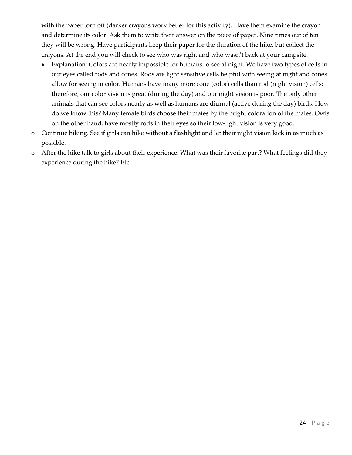with the paper torn off (darker crayons work better for this activity). Have them examine the crayon and determine its color. Ask them to write their answer on the piece of paper. Nine times out of ten they will be wrong. Have participants keep their paper for the duration of the hike, but collect the crayons. At the end you will check to see who was right and who wasn't back at your campsite.

- Explanation: Colors are nearly impossible for humans to see at night. We have two types of cells in our eyes called rods and cones. Rods are light sensitive cells helpful with seeing at night and cones allow for seeing in color. Humans have many more cone (color) cells than rod (night vision) cells; therefore, our color vision is great (during the day) and our night vision is poor. The only other animals that can see colors nearly as well as humans are diurnal (active during the day) birds. How do we know this? Many female birds choose their mates by the bright coloration of the males. Owls on the other hand, have mostly rods in their eyes so their low-light vision is very good.
- o Continue hiking. See if girls can hike without a flashlight and let their night vision kick in as much as possible.
- o After the hike talk to girls about their experience. What was their favorite part? What feelings did they experience during the hike? Etc.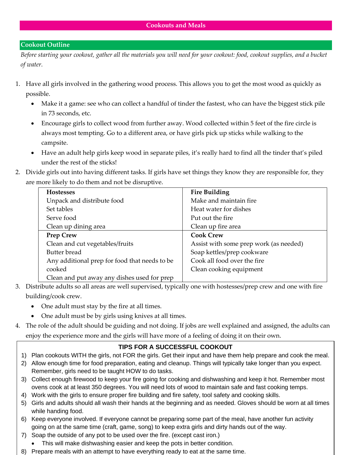## **Cookout Outline**

*Before starting your cookout, gather all the materials you will need for your cookout: food, cookout supplies, and a bucket of water.*

- 1. Have all girls involved in the gathering wood process. This allows you to get the most wood as quickly as possible.
	- Make it a game: see who can collect a handful of tinder the fastest, who can have the biggest stick pile in 73 seconds, etc.
	- Encourage girls to collect wood from further away. Wood collected within 5 feet of the fire circle is always most tempting. Go to a different area, or have girls pick up sticks while walking to the campsite.
	- Have an adult help girls keep wood in separate piles, it's really hard to find all the tinder that's piled under the rest of the sticks!
- 2. Divide girls out into having different tasks. If girls have set things they know they are responsible for, they are more likely to do them and not be disruptive.

| <b>Hostesses</b>                              | <b>Fire Building</b>                   |
|-----------------------------------------------|----------------------------------------|
| Unpack and distribute food                    | Make and maintain fire                 |
| Set tables                                    | Heat water for dishes                  |
| Serve food                                    | Put out the fire                       |
| Clean up dining area                          | Clean up fire area                     |
| <b>Prep Crew</b>                              | <b>Cook Crew</b>                       |
| Clean and cut vegetables/fruits               | Assist with some prep work (as needed) |
| Butter bread                                  | Soap kettles/prep cookware             |
| Any additional prep for food that needs to be | Cook all food over the fire            |
| cooked                                        | Clean cooking equipment                |
| Clean and put away any dishes used for prep   |                                        |

- 3. Distribute adults so all areas are well supervised, typically one with hostesses/prep crew and one with fire building/cook crew.
	- One adult must stay by the fire at all times.
	- One adult must be by girls using knives at all times.
- 4. The role of the adult should be guiding and not doing. If jobs are well explained and assigned, the adults can enjoy the experience more and the girls will have more of a feeling of doing it on their own.

## **TIPS FOR A SUCCESSFUL COOKOUT**

- 1) Plan cookouts WITH the girls, not FOR the girls. Get their input and have them help prepare and cook the meal.
- 2) Allow enough time for food preparation, eating and cleanup. Things will typically take longer than you expect. Remember, girls need to be taught HOW to do tasks.
- 3) Collect enough firewood to keep your fire going for cooking and dishwashing and keep it hot. Remember most ovens cook at at least 350 degrees. You will need lots of wood to maintain safe and fast cooking temps.
- 4) Work with the girls to ensure proper fire building and fire safety, tool safety and cooking skills.
- 5) Girls and adults should all wash their hands at the beginning and as needed. Gloves should be worn at all times while handing food.
- 6) Keep everyone involved. If everyone cannot be preparing some part of the meal, have another fun activity<br>exist as of the some time (and some some) to keep awte side and dirty hands aut of the way. going on at the same time (craft, game, song) to keep extra girls and dirty hands out of the way.
- 7) Soap the outside of any pot to be used over the fire. (except cast iron.)
- This will make dishwashing easier and keep the pots in better condition.
- 8) Prepare meals with an attempt to have everything ready to eat at the same time.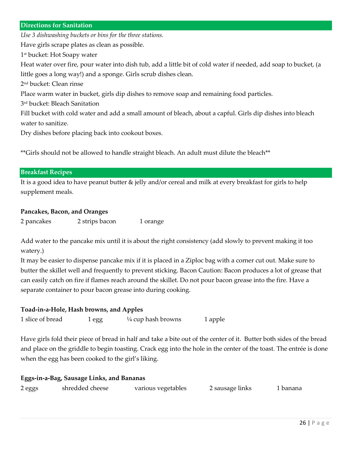#### **Directions for Sanitation**

*Use 3 dishwashing buckets or bins for the three stations.* 

Have girls scrape plates as clean as possible.

1 st bucket: Hot Soapy water

Heat water over fire, pour water into dish tub, add a little bit of cold water if needed, add soap to bucket, (a little goes a long way!) and a sponge. Girls scrub dishes clean.

2 nd bucket: Clean rinse

Place warm water in bucket, girls dip dishes to remove soap and remaining food particles.

3 rd bucket: Bleach Sanitation

Fill bucket with cold water and add a small amount of bleach, about a capful. Girls dip dishes into bleach water to sanitize.

Dry dishes before placing back into cookout boxes.

\*\*Girls should not be allowed to handle straight bleach. An adult must dilute the bleach\*\*

#### **Breakfast Recipes**

It is a good idea to have peanut butter & jelly and/or cereal and milk at every breakfast for girls to help supplement meals.

#### **Pancakes, Bacon, and Oranges**

2 pancakes 2 strips bacon 1 orange

Add water to the pancake mix until it is about the right consistency (add slowly to prevent making it too watery.)

It may be easier to dispense pancake mix if it is placed in a Ziploc bag with a corner cut out. Make sure to butter the skillet well and frequently to prevent sticking. Bacon Caution: Bacon produces a lot of grease that can easily catch on fire if flames reach around the skillet. Do not pour bacon grease into the fire. Have a separate container to pour bacon grease into during cooking.

## **Toad-in-a-Hole, Hash browns, and Apples**

1 slice of bread 1 egg  $\frac{1}{4}$  cup hash browns 1 apple

Have girls fold their piece of bread in half and take a bite out of the center of it. Butter both sides of the bread and place on the griddle to begin toasting. Crack egg into the hole in the center of the toast. The entrée is done when the egg has been cooked to the girl's liking.

|        | Eggs-in-a-Bag, Sausage Links, and Bananas |                    |                 |          |
|--------|-------------------------------------------|--------------------|-----------------|----------|
| 2 eggs | shredded cheese                           | various vegetables | 2 sausage links | 1 banana |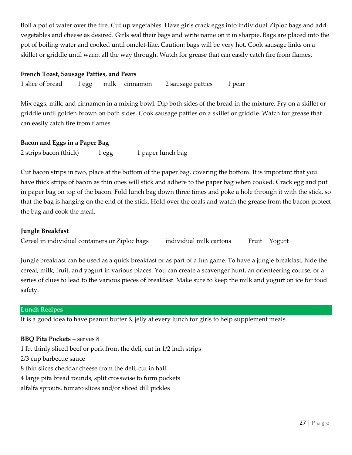Boil a pot of water over the fire. Cut up vegetables. Have girls crack eggs into individual Ziploc bags and add vegetables and cheese as desired. Girls seal their bags and write name on it in sharpie. Bags are placed into the pot of boiling water and cooked until omelet-like. Caution: bags will be very hot. Cook sausage links on a skillet or griddle until warm all the way through. Watch for grease that can easily catch fire from flames.

## **French Toast, Sausage Patties, and Pears**

1 slice of bread 1 egg milk cinnamon 2 sausage patties 1 pear

Mix eggs, milk, and cinnamon in a mixing bowl. Dip both sides of the bread in the mixture. Fry on a skillet or griddle until golden brown on both sides. Cook sausage patties on a skillet or griddle. Watch for grease that can easily catch fire from flames.

## **Bacon and Eggs in a Paper Bag** 2 strips bacon (thick) 1 egg 1 paper lunch bag

Cut bacon strips in two, place at the bottom of the paper bag, covering the bottom. It is important that you have thick strips of bacon as thin ones will stick and adhere to the paper bag when cooked. Crack egg and put in paper bag on top of the bacon. Fold lunch bag down three times and poke a hole through it with the stick, so that the bag is hanging on the end of the stick. Hold over the coals and watch the grease from the bacon protect the bag and cook the meal.

## **Jungle Breakfast**

Cereal in individual containers or Ziploc bags individual milk cartons Fruit Yogurt

Jungle breakfast can be used as a quick breakfast or as part of a fun game. To have a jungle breakfast, hide the cereal, milk, fruit, and yogurt in various places. You can create a scavenger hunt, an orienteering course, or a series of clues to lead to the various pieces of breakfast. Make sure to keep the milk and yogurt on ice for food safety.

## **Lunch Recipes**

It is a good idea to have peanut butter & jelly at every lunch for girls to help supplement meals.

**BBQ Pita Pockets** – serves 8 1 lb. thinly sliced beef or pork from the deli, cut in 1/2 inch strips 2/3 cup barbecue sauce 8 thin slices cheddar cheese from the deli, cut in half 4 large pita bread rounds, split crosswise to form pockets alfalfa sprouts, tomato slices and/or sliced dill pickles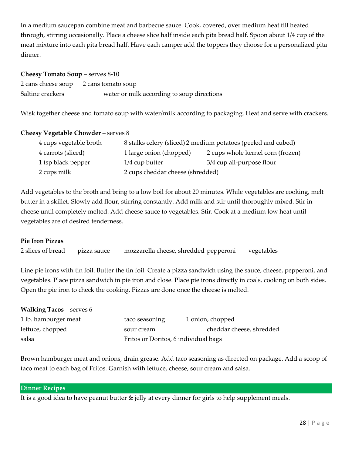In a medium saucepan combine meat and barbecue sauce. Cook, covered, over medium heat till heated through, stirring occasionally. Place a cheese slice half inside each pita bread half. Spoon about 1/4 cup of the meat mixture into each pita bread half. Have each camper add the toppers they choose for a personalized pita dinner.

## **Cheesy Tomato Soup** – serves 8-10

| 2 cans cheese soup | 2 cans tomato soup                         |
|--------------------|--------------------------------------------|
| Saltine crackers   | water or milk according to soup directions |

Wisk together cheese and tomato soup with water/milk according to packaging. Heat and serve with crackers.

## **Cheesy Vegetable Chowder** – serves 8

| 4 cups vegetable broth | 8 stalks celery (sliced) 2 medium potatoes (peeled and cubed) |                                   |
|------------------------|---------------------------------------------------------------|-----------------------------------|
| 4 carrots (sliced)     | 1 large onion (chopped)                                       | 2 cups whole kernel corn (frozen) |
| 1 tsp black pepper     | $1/4$ cup butter                                              | 3/4 cup all-purpose flour         |
| 2 cups milk            | 2 cups cheddar cheese (shredded)                              |                                   |

Add vegetables to the broth and bring to a low boil for about 20 minutes. While vegetables are cooking, melt butter in a skillet. Slowly add flour, stirring constantly. Add milk and stir until thoroughly mixed. Stir in cheese until completely melted. Add cheese sauce to vegetables. Stir. Cook at a medium low heat until vegetables are of desired tenderness.

## **Pie Iron Pizzas**

| 2 slices of bread | pizza sauce |  | mozzarella cheese, shredded pepperoni vegetables |  |
|-------------------|-------------|--|--------------------------------------------------|--|
|-------------------|-------------|--|--------------------------------------------------|--|

Line pie irons with tin foil. Butter the tin foil. Create a pizza sandwich using the sauce, cheese, pepperoni, and vegetables. Place pizza sandwich in pie iron and close. Place pie irons directly in coals, cooking on both sides. Open the pie iron to check the cooking. Pizzas are done once the cheese is melted.

| <b>Walking Tacos</b> – serves 6 |                                      |                          |
|---------------------------------|--------------------------------------|--------------------------|
| 1 lb. hamburger meat            | taco seasoning                       | 1 onion, chopped         |
| lettuce, chopped                | sour cream                           | cheddar cheese, shredded |
| salsa                           | Fritos or Doritos, 6 individual bags |                          |

Brown hamburger meat and onions, drain grease. Add taco seasoning as directed on package. Add a scoop of taco meat to each bag of Fritos. Garnish with lettuce, cheese, sour cream and salsa.

## **Dinner Recipes**

It is a good idea to have peanut butter & jelly at every dinner for girls to help supplement meals.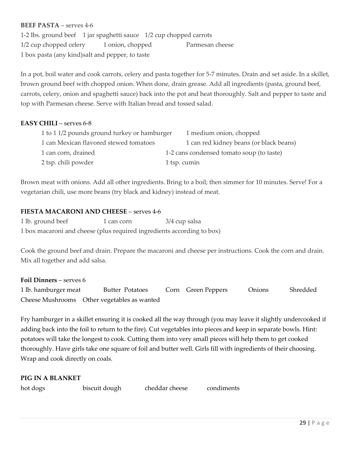#### **BEEF PASTA** – serves 4-6

1-2 lbs. ground beef 1 jar spaghetti sauce 1/2 cup chopped carrots 1/2 cup chopped celery 1 onion, chopped Parmesan cheese 1 box pasta (any kind)salt and pepper, to taste

In a pot, boil water and cook carrots, celery and pasta together for 5-7 minutes. Drain and set aside. In a skillet, brown ground beef with chopped onion. When done, drain grease. Add all ingredients (pasta, ground beef, carrots, celery, onion and spaghetti sauce) back into the pot and heat thoroughly. Salt and pepper to taste and top with Parmesan cheese. Serve with Italian bread and tossed salad.

#### **EASY CHILI** – serves 6-8

| 1 to 1 1/2 pounds ground turkey or hamburger | 1 medium onion, chopped                   |
|----------------------------------------------|-------------------------------------------|
| 1 can Mexican flavored stewed tomatoes       | 1 can red kidney beans (or black beans)   |
| 1 can corn, drained                          | 1-2 cans condensed tomato soup (to taste) |
| 2 tsp. chili powder                          | 1 tsp. cumin                              |

Brown meat with onions. Add all other ingredients. Bring to a boil; then simmer for 10 minutes. Serve! For a vegetarian chili, use more beans (try black and kidney) instead of meat.

## **FIESTA MACARONI AND CHEESE** – serves 4-6

1 lb. ground beef 1 can corn 3/4 cup salsa 1 box macaroni and cheese (plus required ingredients according to box)

Cook the ground beef and drain. Prepare the macaroni and cheese per instructions. Cook the corn and drain. Mix all together and add salsa.

#### **Foil Dinners** – serves 6

1 lb. hamburger meat Butter Potatoes Corn Green Peppers Onions Shredded Cheese Mushrooms Other vegetables as wanted

Fry hamburger in a skillet ensuring it is cooked all the way through (you may leave it slightly undercooked if adding back into the foil to return to the fire). Cut vegetables into pieces and keep in separate bowls. Hint: potatoes will take the longest to cook. Cutting them into very small pieces will help them to get cooked thoroughly. Have girls take one square of foil and butter well. Girls fill with ingredients of their choosing. Wrap and cook directly on coals.

#### **PIG IN A BLANKET**

| hot dogs | biscuit dough | cheddar cheese | condiments |
|----------|---------------|----------------|------------|
|          |               |                |            |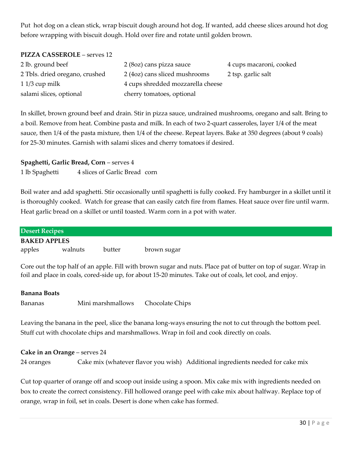Put hot dog on a clean stick, wrap biscuit dough around hot dog. If wanted, add cheese slices around hot dog before wrapping with biscuit dough. Hold over fire and rotate until golden brown.

## **PIZZA CASSEROLE** – serves 12

| 2 lb. ground beef              | 2 (80z) cans pizza sauce          | 4 cups macaroni, cooked |
|--------------------------------|-----------------------------------|-------------------------|
| 2 Tbls. dried oregano, crushed | 2 (4oz) cans sliced mushrooms     | 2 tsp. garlic salt      |
| $11/3$ cup milk                | 4 cups shredded mozzarella cheese |                         |
| salami slices, optional        | cherry tomatoes, optional         |                         |

In skillet, brown ground beef and drain. Stir in pizza sauce, undrained mushrooms, oregano and salt. Bring to a boil. Remove from heat. Combine pasta and milk. In each of two 2-quart casseroles, layer 1/4 of the meat sauce, then 1/4 of the pasta mixture, then 1/4 of the cheese. Repeat layers. Bake at 350 degrees (about 9 coals) for 25-30 minutes. Garnish with salami slices and cherry tomatoes if desired.

## **Spaghetti, Garlic Bread, Corn** – serves 4

1 lb Spaghetti 4 slices of Garlic Bread corn

Boil water and add spaghetti. Stir occasionally until spaghetti is fully cooked. Fry hamburger in a skillet until it is thoroughly cooked. Watch for grease that can easily catch fire from flames. Heat sauce over fire until warm. Heat garlic bread on a skillet or until toasted. Warm corn in a pot with water.

| <b>Desert Recipes</b> |         |        |             |  |  |  |
|-----------------------|---------|--------|-------------|--|--|--|
| <b>BAKED APPLES</b>   |         |        |             |  |  |  |
| apples                | walnuts | butter | brown sugar |  |  |  |

Core out the top half of an apple. Fill with brown sugar and nuts. Place pat of butter on top of sugar. Wrap in foil and place in coals, cored-side up, for about 15-20 minutes. Take out of coals, let cool, and enjoy.

#### **Banana Boats**

Bananas Mini marshmallows Chocolate Chips

Leaving the banana in the peel, slice the banana long-ways ensuring the not to cut through the bottom peel. Stuff cut with chocolate chips and marshmallows. Wrap in foil and cook directly on coals.

**Cake in an Orange** – serves 24 24 oranges Cake mix (whatever flavor you wish) Additional ingredients needed for cake mix

Cut top quarter of orange off and scoop out inside using a spoon. Mix cake mix with ingredients needed on box to create the correct consistency. Fill hollowed orange peel with cake mix about halfway. Replace top of orange, wrap in foil, set in coals. Desert is done when cake has formed.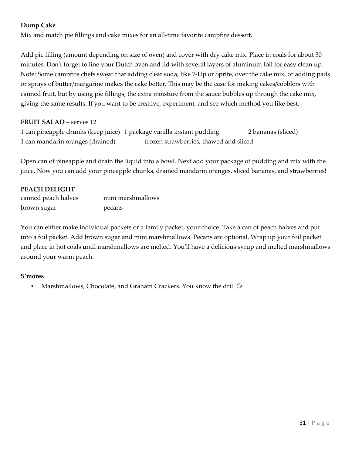## **Dump Cake**

Mix and match pie fillings and cake mixes for an all-time favorite campfire dessert.

Add pie filling (amount depending on size of oven) and cover with dry cake mix. Place in coals for about 30 minutes. Don't forget to line your Dutch oven and lid with several layers of aluminum foil for easy clean up. Note: Some campfire chefs swear that adding clear soda, like 7-Up or Sprite, over the cake mix, or adding pads or sprays of butter/margarine makes the cake better. This may be the case for making cakes/cobblers with canned fruit, but by using pie fillings, the extra moisture from the sauce bubbles up through the cake mix, giving the same results. If you want to be creative, experiment, and see which method you like best.

## **FRUIT SALAD** – serves 12

```
1 can pineapple chunks (keep juice) 1 package vanilla instant pudding 2 bananas (sliced)
1 can mandarin oranges (drained) frozen strawberries, thawed and sliced
```
Open can of pineapple and drain the liquid into a bowl. Next add your package of pudding and mix with the juice. Now you can add your pineapple chunks, drained mandarin oranges, sliced bananas, and strawberries!

## **PEACH DELIGHT**

| canned peach halves | mini marshmallows |
|---------------------|-------------------|
| brown sugar         | pecans            |

You can either make individual packets or a family packet, your choice. Take a can of peach halves and put into a foil packet. Add brown sugar and mini marshmallows. Pecans are optional. Wrap up your foil packet and place in hot coals until marshmallows are melted. You'll have a delicious syrup and melted marshmallows around your warm peach.

## **S'mores**

Marshmallows, Chocolate, and Graham Crackers. You know the drill  $\odot$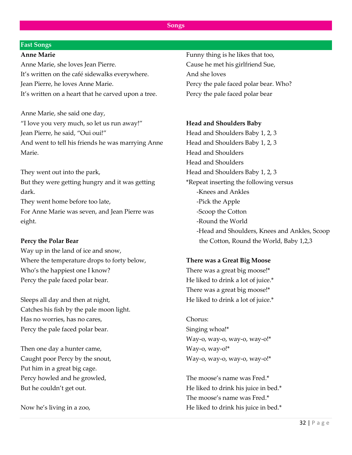#### **Songs**

#### **Fast Songs**

#### **Anne Marie**

Anne Marie, she loves Jean Pierre. It's written on the café sidewalks everywhere. Jean Pierre, he loves Anne Marie. It's written on a heart that he carved upon a tree.

Anne Marie, she said one day, "I love you very much, so let us run away!" Jean Pierre, he said, "Oui oui!" And went to tell his friends he was marrying Anne Marie.

They went out into the park, But they were getting hungry and it was getting dark. They went home before too late, For Anne Marie was seven, and Jean Pierre was eight.

#### **Percy the Polar Bear**

Way up in the land of ice and snow, Where the temperature drops to forty below, Who's the happiest one I know? Percy the pale faced polar bear.

Sleeps all day and then at night, Catches his fish by the pale moon light. Has no worries, has no cares, Percy the pale faced polar bear.

Then one day a hunter came, Caught poor Percy by the snout, Put him in a great big cage. Percy howled and he growled, But he couldn't get out.

Now he's living in a zoo,

Funny thing is he likes that too, Cause he met his girlfriend Sue, And she loves Percy the pale faced polar bear. Who? Percy the pale faced polar bear

#### **Head and Shoulders Baby**

Head and Shoulders Baby 1, 2, 3 Head and Shoulders Baby 1, 2, 3 Head and Shoulders Head and Shoulders Head and Shoulders Baby 1, 2, 3 \*Repeat inserting the following versus -Knees and Ankles -Pick the Apple -Scoop the Cotton -Round the World -Head and Shoulders, Knees and Ankles, Scoop the Cotton, Round the World, Baby 1,2,3

#### **There was a Great Big Moose**

There was a great big moose!\* He liked to drink a lot of juice.\* There was a great big moose!\* He liked to drink a lot of juice.\*

Chorus: Singing whoa!\* Way-o, way-o, way-o, way-o!\* Way-o, way-o!\* Way-o, way-o, way-o, way-o!\*

The moose's name was Fred.\* He liked to drink his juice in bed.\* The moose's name was Fred.\* He liked to drink his juice in bed.\*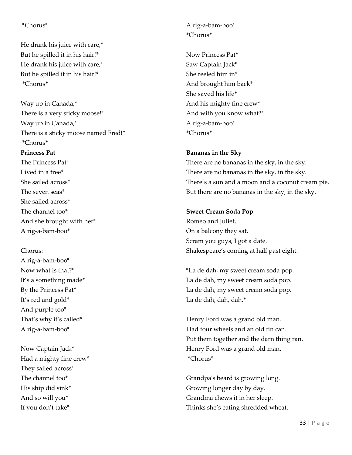## \*Chorus\*

He drank his juice with care,\* But he spilled it in his hair!\* He drank his juice with care,\* But he spilled it in his hair!\* \*Chorus\*

Way up in Canada,\* There is a very sticky moose!\* Way up in Canada,\* There is a sticky moose named Fred!\* \*Chorus\* **Princess Pat** The Princess Pat\* Lived in a tree\* She sailed across\* The seven seas\*

She sailed across\* The channel too\* And she brought with her\* A rig-a-bam-boo\*

Chorus:

A rig-a-bam-boo\* Now what is that?\* It's a something made\* By the Princess Pat\* It's red and gold\* And purple too\* That's why it's called\* A rig-a-bam-boo\*

Now Captain Jack\* Had a mighty fine crew\* They sailed across\* The channel too\* His ship did sink\* And so will you\* If you don't take\*

A rig-a-bam-boo\* \*Chorus\*

Now Princess Pat\* Saw Captain Jack\* She reeled him in\* And brought him back\* She saved his life\* And his mighty fine crew\* And with you know what?\* A rig-a-bam-boo\* \*Chorus\*

## **Bananas in the Sky**

There are no bananas in the sky, in the sky. There are no bananas in the sky, in the sky. There's a sun and a moon and a coconut cream pie, But there are no bananas in the sky, in the sky.

## **Sweet Cream Soda Pop**

Romeo and Juliet, On a balcony they sat. Scram you guys, I got a date. Shakespeare's coming at half past eight.

\*La de dah, my sweet cream soda pop. La de dah, my sweet cream soda pop. La de dah, my sweet cream soda pop. La de dah, dah, dah.\*

Henry Ford was a grand old man. Had four wheels and an old tin can. Put them together and the darn thing ran. Henry Ford was a grand old man. \*Chorus\*

Grandpa's beard is growing long. Growing longer day by day. Grandma chews it in her sleep. Thinks she's eating shredded wheat.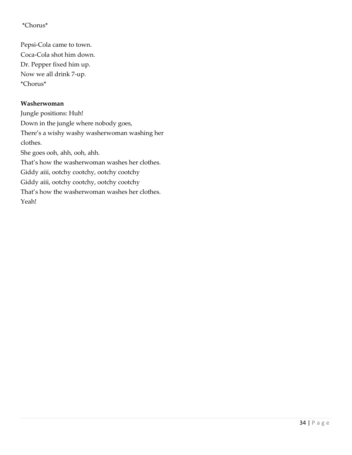## \*Chorus\*

Pepsi-Cola came to town. Coca-Cola shot him down. Dr. Pepper fixed him up. Now we all drink 7-up. \*Chorus\*

## **Washerwoman**

Jungle positions: Huh! Down in the jungle where nobody goes, There's a wishy washy washerwoman washing her clothes. She goes ooh, ahh, ooh, ahh. That's how the washerwoman washes her clothes. Giddy aiii, ootchy cootchy, ootchy cootchy Giddy aiii, ootchy cootchy, ootchy cootchy That's how the washerwoman washes her clothes. Yeah!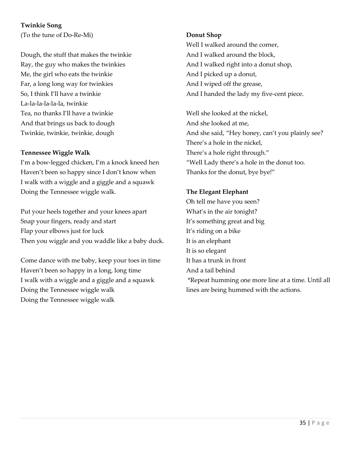## **Twinkie Song**

(To the tune of Do-Re-Mi)

Dough, the stuff that makes the twinkie Ray, the guy who makes the twinkies Me, the girl who eats the twinkie Far, a long long way for twinkies So, I think I'll have a twinkie La-la-la-la-la-la, twinkie Tea, no thanks I'll have a twinkie And that brings us back to dough Twinkie, twinkie, twinkie, dough

## **Tennessee Wiggle Walk**

I'm a bow-legged chicken, I'm a knock kneed hen Haven't been so happy since I don't know when I walk with a wiggle and a giggle and a squawk Doing the Tennessee wiggle walk.

Put your heels together and your knees apart Snap your fingers, ready and start Flap your elbows just for luck Then you wiggle and you waddle like a baby duck.

Come dance with me baby, keep your toes in time Haven't been so happy in a long, long time I walk with a wiggle and a giggle and a squawk Doing the Tennessee wiggle walk Doing the Tennessee wiggle walk

## **Donut Shop**

Well I walked around the corner, And I walked around the block, And I walked right into a donut shop, And I picked up a donut, And I wiped off the grease, And I handed the lady my five-cent piece.

Well she looked at the nickel, And she looked at me, And she said, "Hey honey, can't you plainly see? There's a hole in the nickel, There's a hole right through." "Well Lady there's a hole in the donut too. Thanks for the donut, bye bye!"

## **The Elegant Elephant**

Oh tell me have you seen? What's in the air tonight? It's something great and big It's riding on a bike It is an elephant It is so elegant It has a trunk in front And a tail behind \*Repeat humming one more line at a time. Until all lines are being hummed with the actions.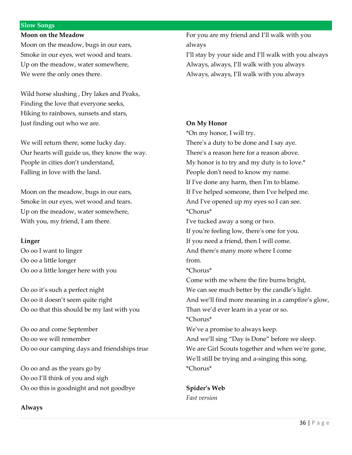#### **Slow Songs**

#### **Moon on the Meadow**

Moon on the meadow, bugs in our ears, Smoke in our eyes, wet wood and tears. Up on the meadow, water somewhere, We were the only ones there.

Wild horse slushing , Dry lakes and Peaks, Finding the love that everyone seeks, Hiking to rainbows, sunsets and stars, Just finding out who we are.

We will return there, some lucky day. Our hearts will guide us, they know the way. People in cities don't understand, Falling in love with the land.

Moon on the meadow, bugs in our ears, Smoke in our eyes, wet wood and tears. Up on the meadow, water somewhere, With you, my friend, I am there.

#### **Linger**

Oo oo I want to linger Oo oo a little longer Oo oo a little longer here with you

Oo oo it's such a perfect night Oo oo it doesn't seem quite right Oo oo that this should be my last with you

Oo oo and come September Oo oo we will remember Oo oo our camping days and friendships true

Oo oo and as the years go by Oo oo I'll think of you and sigh Oo oo this is goodnight and not goodbye

## **Always**

For you are my friend and I'll walk with you always

I'll stay by your side and I'll walk with you always Always, always, I'll walk with you always Always, always, I'll walk with you always

#### **On My Honor**

\*On my honor, I will try. There's a duty to be done and I say aye. There's a reason here for a reason above. My honor is to try and my duty is to love.\* People don't need to know my name. If I've done any harm, then I'm to blame. If I've helped someone, then I've helped me. And I've opened up my eyes so I can see. \*Chorus\* I've tucked away a song or two. If you're feeling low, there's one for you. If you need a friend, then I will come. And there's many more where I come from. \*Chorus\* Come with me where the fire burns bright, We can see much better by the candle's light. And we'll find more meaning in a campfire's glow, Than we'd ever learn in a year or so. \*Chorus\* We've a promise to always keep. And we'll sing "Day is Done" before we sleep. We are Girl Scouts together and when we're gone, We'll still be trying and a-singing this song. \*Chorus\*

**Spider's Web** *Fast version*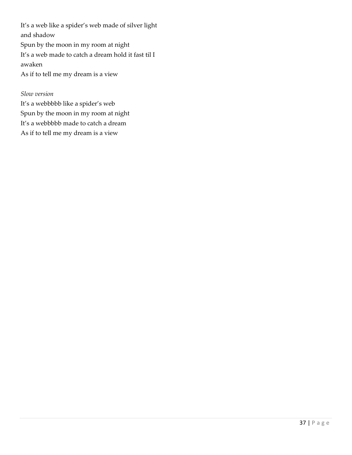It's a web like a spider's web made of silver light and shadow Spun by the moon in my room at night It's a web made to catch a dream hold it fast til I awaken As if to tell me my dream is a view

## *Slow version*

It's a webbbbb like a spider's web Spun by the moon in my room at night It's a webbbbb made to catch a dream As if to tell me my dream is a view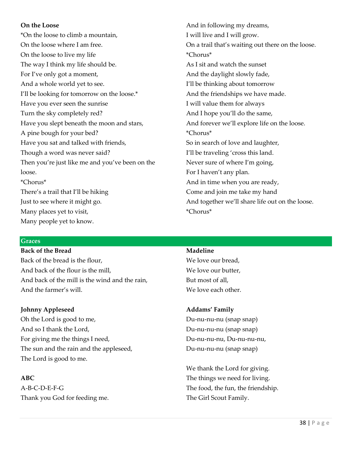## **On the Loose**

\*On the loose to climb a mountain, On the loose where I am free. On the loose to live my life The way I think my life should be. For I've only got a moment, And a whole world yet to see. I'll be looking for tomorrow on the loose.\* Have you ever seen the sunrise Turn the sky completely red? Have you slept beneath the moon and stars, A pine bough for your bed? Have you sat and talked with friends, Though a word was never said? Then you're just like me and you've been on the loose. \*Chorus\* There's a trail that I'll be hiking Just to see where it might go. Many places yet to visit, Many people yet to know.

And in following my dreams, I will live and I will grow. On a trail that's waiting out there on the loose. \*Chorus\* As I sit and watch the sunset And the daylight slowly fade, I'll be thinking about tomorrow And the friendships we have made. I will value them for always And I hope you'll do the same, And forever we'll explore life on the loose. \*Chorus\* So in search of love and laughter, I'll be traveling 'cross this land. Never sure of where I'm going, For I haven't any plan. And in time when you are ready, Come and join me take my hand And together we'll share life out on the loose. \*Chorus\*

#### **Graces**

## **Back of the Bread**

Back of the bread is the flour, And back of the flour is the mill, And back of the mill is the wind and the rain, And the farmer's will.

## **Johnny Appleseed**

Oh the Lord is good to me, And so I thank the Lord, For giving me the things I need, The sun and the rain and the appleseed, The Lord is good to me.

#### **ABC**

A-B-C-D-E-F-G Thank you God for feeding me.

## **Madeline**

We love our bread, We love our butter. But most of all, We love each other.

#### **Addams' Family**

Du-nu-nu-nu (snap snap) Du-nu-nu-nu (snap snap) Du-nu-nu-nu, Du-nu-nu-nu, Du-nu-nu-nu (snap snap)

We thank the Lord for giving. The things we need for living. The food, the fun, the friendship. The Girl Scout Family.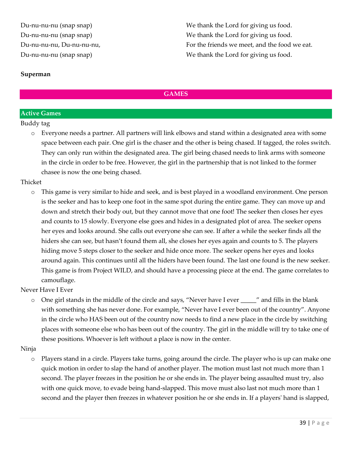Du-nu-nu-nu (snap snap) Du-nu-nu-nu (snap snap) Du-nu-nu-nu, Du-nu-nu-nu, Du-nu-nu-nu (snap snap)

We thank the Lord for giving us food. We thank the Lord for giving us food. For the friends we meet, and the food we eat. We thank the Lord for giving us food.

#### **Superman**

#### **GAMES**

## **Active Games**

## Buddy tag

o Everyone needs a partner. All partners will link elbows and stand within a designated area with some space between each pair. One girl is the chaser and the other is being chased. If tagged, the roles switch. They can only run within the designated area. The girl being chased needs to link arms with someone in the circle in order to be free. However, the girl in the partnership that is not linked to the former chasee is now the one being chased.

#### Thicket

o This game is very similar to hide and seek, and is best played in a woodland environment. One person is the seeker and has to keep one foot in the same spot during the entire game. They can move up and down and stretch their body out, but they cannot move that one foot! The seeker then closes her eyes and counts to 15 slowly. Everyone else goes and hides in a designated plot of area. The seeker opens her eyes and looks around. She calls out everyone she can see. If after a while the seeker finds all the hiders she can see, but hasn't found them all, she closes her eyes again and counts to 5. The players hiding move 5 steps closer to the seeker and hide once more. The seeker opens her eyes and looks around again. This continues until all the hiders have been found. The last one found is the new seeker. This game is from Project WILD, and should have a processing piece at the end. The game correlates to camouflage.

Never Have I Ever

o One girl stands in the middle of the circle and says, "Never have I ever \_\_\_\_\_" and fills in the blank with something she has never done. For example, "Never have I ever been out of the country". Anyone in the circle who HAS been out of the country now needs to find a new place in the circle by switching places with someone else who has been out of the country. The girl in the middle will try to take one of these positions. Whoever is left without a place is now in the center.

#### Ninja

o Players stand in a circle. Players take turns, going around the circle. The player who is up can make one quick motion in order to slap the hand of another player. The motion must last not much more than 1 second. The player freezes in the position he or she ends in. The player being assaulted must try, also with one quick move, to evade being hand-slapped. This move must also last not much more than 1 second and the player then freezes in whatever position he or she ends in. If a players' hand is slapped,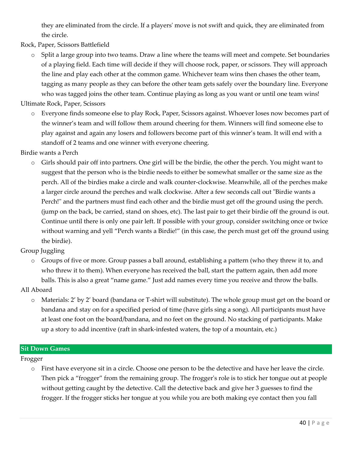they are eliminated from the circle. If a players' move is not swift and quick, they are eliminated from the circle.

Rock, Paper, Scissors Battlefield

o Split a large group into two teams. Draw a line where the teams will meet and compete. Set boundaries of a playing field. Each time will decide if they will choose rock, paper, or scissors. They will approach the line and play each other at the common game. Whichever team wins then chases the other team, tagging as many people as they can before the other team gets safely over the boundary line. Everyone who was tagged joins the other team. Continue playing as long as you want or until one team wins!

Ultimate Rock, Paper, Scissors

o Everyone finds someone else to play Rock, Paper, Scissors against. Whoever loses now becomes part of the winner's team and will follow them around cheering for them. Winners will find someone else to play against and again any losers and followers become part of this winner's team. It will end with a standoff of 2 teams and one winner with everyone cheering.

Birdie wants a Perch

o Girls should pair off into partners. One girl will be the birdie, the other the perch. You might want to suggest that the person who is the birdie needs to either be somewhat smaller or the same size as the perch. All of the birdies make a circle and walk counter-clockwise. Meanwhile, all of the perches make a larger circle around the perches and walk clockwise. After a few seconds call out "Birdie wants a Perch!" and the partners must find each other and the birdie must get off the ground using the perch. (jump on the back, be carried, stand on shoes, etc). The last pair to get their birdie off the ground is out. Continue until there is only one pair left. If possible with your group, consider switching once or twice without warning and yell "Perch wants a Birdie!" (in this case, the perch must get off the ground using the birdie).

Group Juggling

o Groups of five or more. Group passes a ball around, establishing a pattern (who they threw it to, and who threw it to them). When everyone has received the ball, start the pattern again, then add more balls. This is also a great "name game." Just add names every time you receive and throw the balls.

All Aboard

o Materials: 2' by 2' board (bandana or T-shirt will substitute). The whole group must get on the board or bandana and stay on for a specified period of time (have girls sing a song). All participants must have at least one foot on the board/bandana, and no feet on the ground. No stacking of participants. Make up a story to add incentive (raft in shark-infested waters, the top of a mountain, etc.)

## **Sit Down Games**

Frogger

o First have everyone sit in a circle. Choose one person to be the detective and have her leave the circle. Then pick a "frogger" from the remaining group. The frogger's role is to stick her tongue out at people without getting caught by the detective. Call the detective back and give her 3 guesses to find the frogger. If the frogger sticks her tongue at you while you are both making eye contact then you fall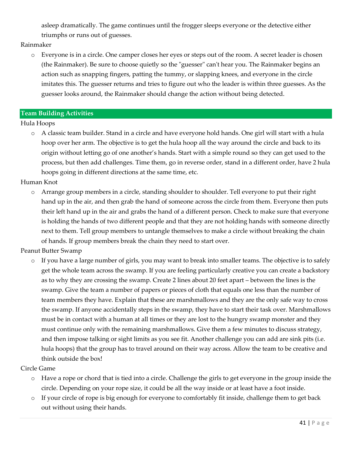asleep dramatically. The game continues until the frogger sleeps everyone or the detective either triumphs or runs out of guesses.

## Rainmaker

o Everyone is in a circle. One camper closes her eyes or steps out of the room. A secret leader is chosen (the Rainmaker). Be sure to choose quietly so the "guesser" can't hear you. The Rainmaker begins an action such as snapping fingers, patting the tummy, or slapping knees, and everyone in the circle imitates this. The guesser returns and tries to figure out who the leader is within three guesses. As the guesser looks around, the Rainmaker should change the action without being detected.

## **Team Building Activities**

## Hula Hoops

o A classic team builder. Stand in a circle and have everyone hold hands. One girl will start with a hula hoop over her arm. The objective is to get the hula hoop all the way around the circle and back to its origin without letting go of one another's hands. Start with a simple round so they can get used to the process, but then add challenges. Time them, go in reverse order, stand in a different order, have 2 hula hoops going in different directions at the same time, etc.

## Human Knot

o Arrange group members in a circle, standing shoulder to shoulder. Tell everyone to put their right hand up in the air, and then grab the hand of someone across the circle from them. Everyone then puts their left hand up in the air and grabs the hand of a different person. Check to make sure that everyone is holding the hands of two different people and that they are not holding hands with someone directly next to them. Tell group members to untangle themselves to make a circle without breaking the chain of hands. If group members break the chain they need to start over.

## Peanut Butter Swamp

o If you have a large number of girls, you may want to break into smaller teams. The objective is to safely get the whole team across the swamp. If you are feeling particularly creative you can create a backstory as to why they are crossing the swamp. Create 2 lines about 20 feet apart – between the lines is the swamp. Give the team a number of papers or pieces of cloth that equals one less than the number of team members they have. Explain that these are marshmallows and they are the only safe way to cross the swamp. If anyone accidentally steps in the swamp, they have to start their task over. Marshmallows must be in contact with a human at all times or they are lost to the hungry swamp monster and they must continue only with the remaining marshmallows. Give them a few minutes to discuss strategy, and then impose talking or sight limits as you see fit. Another challenge you can add are sink pits (i.e. hula hoops) that the group has to travel around on their way across. Allow the team to be creative and think outside the box!

## Circle Game

- o Have a rope or chord that is tied into a circle. Challenge the girls to get everyone in the group inside the circle. Depending on your rope size, it could be all the way inside or at least have a foot inside.
- o If your circle of rope is big enough for everyone to comfortably fit inside, challenge them to get back out without using their hands.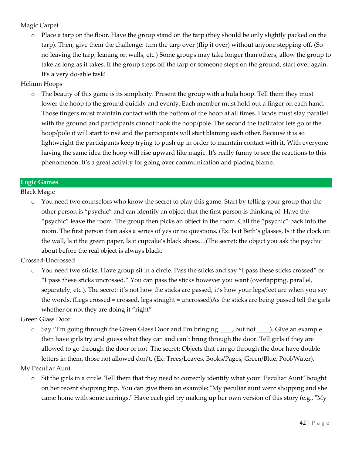## Magic Carpet

o Place a tarp on the floor. Have the group stand on the tarp (they should be only slightly packed on the tarp). Then, give them the challenge: turn the tarp over (flip it over) without anyone stepping off. (So no leaving the tarp, leaning on walls, etc.) Some groups may take longer than others, allow the group to take as long as it takes. If the group steps off the tarp or someone steps on the ground, start over again. It's a very do-able task!

## Helium Hoops

o The beauty of this game is its simplicity. Present the group with a hula hoop. Tell them they must lower the hoop to the ground quickly and evenly. Each member must hold out a finger on each hand. Those fingers must maintain contact with the bottom of the hoop at all times. Hands must stay parallel with the ground and participants cannot hook the hoop/pole. The second the facilitator lets go of the hoop/pole it will start to rise and the participants will start blaming each other. Because it is so lightweight the participants keep trying to push up in order to maintain contact with it. With everyone having the same idea the hoop will rise upward like magic. It's really funny to see the reactions to this phenomenon. It's a great activity for going over communication and placing blame.

## **Logic Games**

Black Magic

o You need two counselors who know the secret to play this game. Start by telling your group that the other person is "psychic" and can identify an object that the first person is thinking of. Have the "psychic" leave the room. The group then picks an object in the room. Call the "psychic" back into the room. The first person then asks a series of yes or no questions. (Ex: Is it Beth's glasses, Is it the clock on the wall, Is it the green paper, Is it cupcake's black shoes…)The secret: the object you ask the psychic about before the real object is always black.

Crossed-Uncrossed

o You need two sticks. Have group sit in a circle. Pass the sticks and say "I pass these sticks crossed" or "I pass these sticks uncrossed." You can pass the sticks however you want (overlapping, parallel, separately, etc.). The secret: it's not how the sticks are passed, it's how your legs/feet are when you say the words. (Legs crossed = crossed, legs straight = uncrossed)As the sticks are being passed tell the girls whether or not they are doing it "right"

Green Glass Door

o Say "I'm going through the Green Glass Door and I'm bringing \_\_\_\_, but not \_\_\_\_). Give an example then have girls try and guess what they can and can't bring through the door. Tell girls if they are allowed to go through the door or not. The secret: Objects that can go through the door have double letters in them, those not allowed don't. (Ex: Trees/Leaves, Books/Pages, Green/Blue, Pool/Water).

## My Peculiar Aunt

o Sit the girls in a circle. Tell them that they need to correctly identify what your "Peculiar Aunt" bought on her recent shopping trip. You can give them an example: "My peculiar aunt went shopping and she came home with some earrings." Have each girl try making up her own version of this story (e.g., "My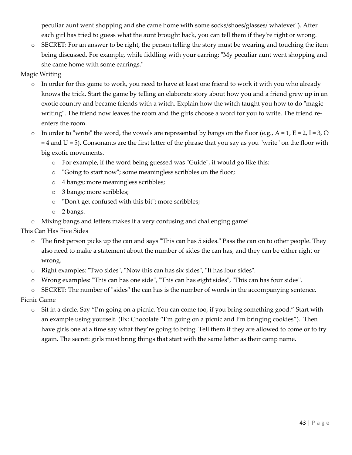peculiar aunt went shopping and she came home with some socks/shoes/glasses/ whatever"). After each girl has tried to guess what the aunt brought back, you can tell them if they're right or wrong.

o SECRET: For an answer to be right, the person telling the story must be wearing and touching the item being discussed. For example, while fiddling with your earring: "My peculiar aunt went shopping and she came home with some earrings."

## Magic Writing

- o In order for this game to work, you need to have at least one friend to work it with you who already knows the trick. Start the game by telling an elaborate story about how you and a friend grew up in an exotic country and became friends with a witch. Explain how the witch taught you how to do "magic writing". The friend now leaves the room and the girls choose a word for you to write. The friend reenters the room.
- $\circ$  In order to "write" the word, the vowels are represented by bangs on the floor (e.g., A = 1, E = 2, I = 3, O  $=$  4 and U = 5). Consonants are the first letter of the phrase that you say as you "write" on the floor with big exotic movements.
	- o For example, if the word being guessed was "Guide", it would go like this:
	- o "Going to start now"; some meaningless scribbles on the floor;
	- o 4 bangs; more meaningless scribbles;
	- o 3 bangs; more scribbles;
	- o "Don't get confused with this bit"; more scribbles;
	- o 2 bangs.
- o Mixing bangs and letters makes it a very confusing and challenging game!

This Can Has Five Sides

- o The first person picks up the can and says "This can has 5 sides." Pass the can on to other people. They also need to make a statement about the number of sides the can has, and they can be either right or wrong.
- o Right examples: "Two sides", "Now this can has six sides", "It has four sides".
- o Wrong examples: "This can has one side", "This can has eight sides", "This can has four sides".
- o SECRET: The number of "sides" the can has is the number of words in the accompanying sentence.

## Picnic Game

o Sit in a circle. Say "I'm going on a picnic. You can come too, if you bring something good." Start with an example using yourself. (Ex: Chocolate "I'm going on a picnic and I'm bringing cookies"). Then have girls one at a time say what they're going to bring. Tell them if they are allowed to come or to try again. The secret: girls must bring things that start with the same letter as their camp name.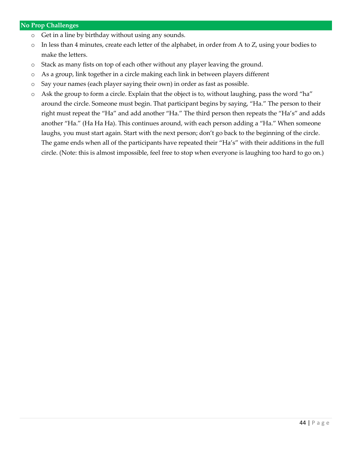## **No Prop Challenges**

- o Get in a line by birthday without using any sounds.
- o In less than 4 minutes, create each letter of the alphabet, in order from A to Z, using your bodies to make the letters.
- o Stack as many fists on top of each other without any player leaving the ground.
- o As a group, link together in a circle making each link in between players different
- o Say your names (each player saying their own) in order as fast as possible.
- o Ask the group to form a circle. Explain that the object is to, without laughing, pass the word "ha" around the circle. Someone must begin. That participant begins by saying, "Ha." The person to their right must repeat the "Ha" and add another "Ha." The third person then repeats the "Ha's" and adds another "Ha." (Ha Ha Ha). This continues around, with each person adding a "Ha." When someone laughs, you must start again. Start with the next person; don't go back to the beginning of the circle. The game ends when all of the participants have repeated their "Ha's" with their additions in the full circle. (Note: this is almost impossible, feel free to stop when everyone is laughing too hard to go on.)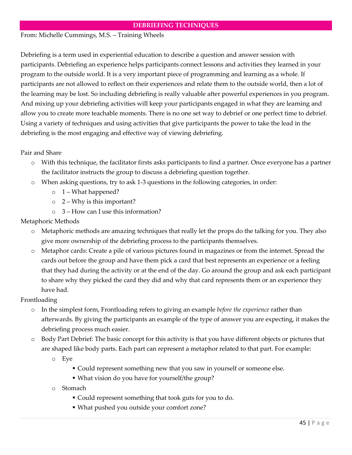## **DEBRIEFING TECHNIQUES**

#### From: Michelle Cummings, M.S. – Training Wheels

Debriefing is a term used in experiential education to describe a question and answer session with participants. Debriefing an experience helps participants connect lessons and activities they learned in your program to the outside world. It is a very important piece of programming and learning as a whole. If participants are not allowed to reflect on their experiences and relate them to the outside world, then a lot of the learning may be lost. So including debriefing is really valuable after powerful experiences in you program. And mixing up your debriefing activities will keep your participants engaged in what they are learning and allow you to create more teachable moments. There is no one set way to debrief or one perfect time to debrief. Using a variety of techniques and using activities that give participants the power to take the lead in the debriefing is the most engaging and effective way of viewing debriefing.

#### Pair and Share

- o With this technique, the facilitator firsts asks participants to find a partner. Once everyone has a partner the facilitator instructs the group to discuss a debriefing question together.
- o When asking questions, try to ask 1-3 questions in the following categories, in order:
	- o 1 What happened?
	- o 2 Why is this important?
	- o 3 How can I use this information?

## Metaphoric Methods

- o Metaphoric methods are amazing techniques that really let the props do the talking for you. They also give more ownership of the debriefing process to the participants themselves.
- o Metaphor cards: Create a pile of various pictures found in magazines or from the internet. Spread the cards out before the group and have them pick a card that best represents an experience or a feeling that they had during the activity or at the end of the day. Go around the group and ask each participant to share why they picked the card they did and why that card represents them or an experience they have had.

## Frontloading

- o In the simplest form, Frontloading refers to giving an example *before the experience* rather than afterwards. By giving the participants an example of the type of answer you are expecting, it makes the debriefing process much easier.
- o Body Part Debrief: The basic concept for this activity is that you have different objects or pictures that are shaped like body parts. Each part can represent a metaphor related to that part. For example:
	- o Eye
		- Could represent something new that you saw in yourself or someone else.
		- What vision do you have for yourself/the group?
	- o Stomach
		- Could represent something that took guts for you to do.
		- What pushed you outside your comfort zone?